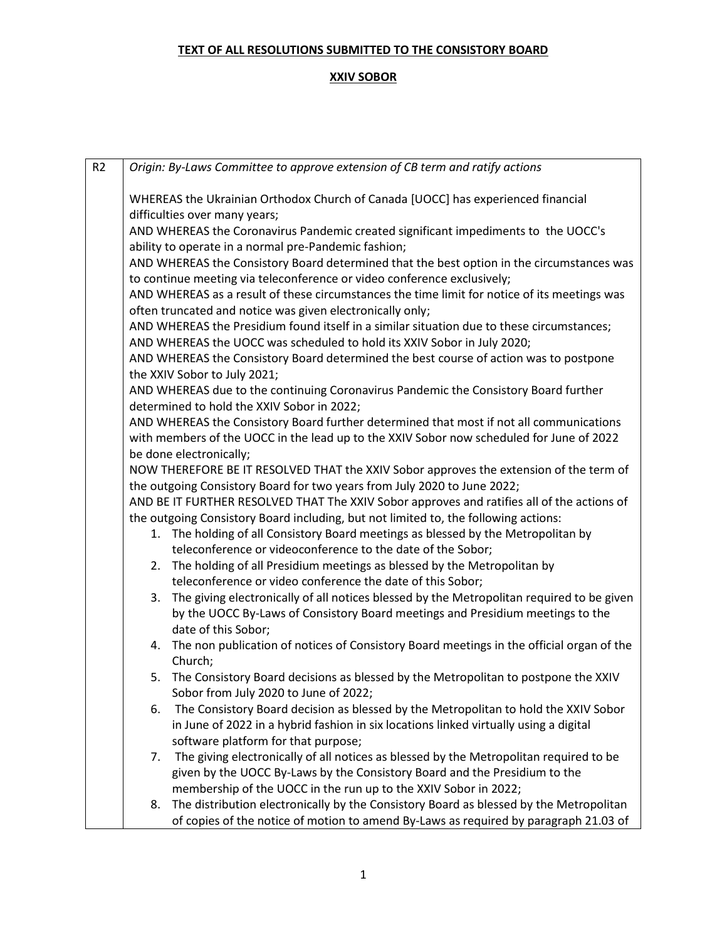| R <sub>2</sub> | Origin: By-Laws Committee to approve extension of CB term and ratify actions                    |  |  |  |
|----------------|-------------------------------------------------------------------------------------------------|--|--|--|
|                |                                                                                                 |  |  |  |
|                | WHEREAS the Ukrainian Orthodox Church of Canada [UOCC] has experienced financial                |  |  |  |
|                | difficulties over many years;                                                                   |  |  |  |
|                | AND WHEREAS the Coronavirus Pandemic created significant impediments to the UOCC's              |  |  |  |
|                | ability to operate in a normal pre-Pandemic fashion;                                            |  |  |  |
|                | AND WHEREAS the Consistory Board determined that the best option in the circumstances was       |  |  |  |
|                | to continue meeting via teleconference or video conference exclusively;                         |  |  |  |
|                | AND WHEREAS as a result of these circumstances the time limit for notice of its meetings was    |  |  |  |
|                | often truncated and notice was given electronically only;                                       |  |  |  |
|                | AND WHEREAS the Presidium found itself in a similar situation due to these circumstances;       |  |  |  |
|                | AND WHEREAS the UOCC was scheduled to hold its XXIV Sobor in July 2020;                         |  |  |  |
|                | AND WHEREAS the Consistory Board determined the best course of action was to postpone           |  |  |  |
|                | the XXIV Sobor to July 2021;                                                                    |  |  |  |
|                | AND WHEREAS due to the continuing Coronavirus Pandemic the Consistory Board further             |  |  |  |
|                | determined to hold the XXIV Sobor in 2022;                                                      |  |  |  |
|                | AND WHEREAS the Consistory Board further determined that most if not all communications         |  |  |  |
|                | with members of the UOCC in the lead up to the XXIV Sobor now scheduled for June of 2022        |  |  |  |
|                | be done electronically;                                                                         |  |  |  |
|                | NOW THEREFORE BE IT RESOLVED THAT the XXIV Sobor approves the extension of the term of          |  |  |  |
|                | the outgoing Consistory Board for two years from July 2020 to June 2022;                        |  |  |  |
|                | AND BE IT FURTHER RESOLVED THAT The XXIV Sobor approves and ratifies all of the actions of      |  |  |  |
|                | the outgoing Consistory Board including, but not limited to, the following actions:             |  |  |  |
|                | 1. The holding of all Consistory Board meetings as blessed by the Metropolitan by               |  |  |  |
|                | teleconference or videoconference to the date of the Sobor;                                     |  |  |  |
|                | 2. The holding of all Presidium meetings as blessed by the Metropolitan by                      |  |  |  |
|                | teleconference or video conference the date of this Sobor;                                      |  |  |  |
|                | The giving electronically of all notices blessed by the Metropolitan required to be given<br>3. |  |  |  |
|                | by the UOCC By-Laws of Consistory Board meetings and Presidium meetings to the                  |  |  |  |
|                | date of this Sobor;                                                                             |  |  |  |
|                | 4. The non publication of notices of Consistory Board meetings in the official organ of the     |  |  |  |
|                | Church;                                                                                         |  |  |  |
|                | 5. The Consistory Board decisions as blessed by the Metropolitan to postpone the XXIV           |  |  |  |
|                | Sobor from July 2020 to June of 2022;                                                           |  |  |  |
|                | The Consistory Board decision as blessed by the Metropolitan to hold the XXIV Sobor<br>6.       |  |  |  |
|                | in June of 2022 in a hybrid fashion in six locations linked virtually using a digital           |  |  |  |
|                | software platform for that purpose;                                                             |  |  |  |
|                | The giving electronically of all notices as blessed by the Metropolitan required to be<br>7.    |  |  |  |
|                | given by the UOCC By-Laws by the Consistory Board and the Presidium to the                      |  |  |  |
|                | membership of the UOCC in the run up to the XXIV Sobor in 2022;                                 |  |  |  |
|                | The distribution electronically by the Consistory Board as blessed by the Metropolitan<br>8.    |  |  |  |
|                | of copies of the notice of motion to amend By-Laws as required by paragraph 21.03 of            |  |  |  |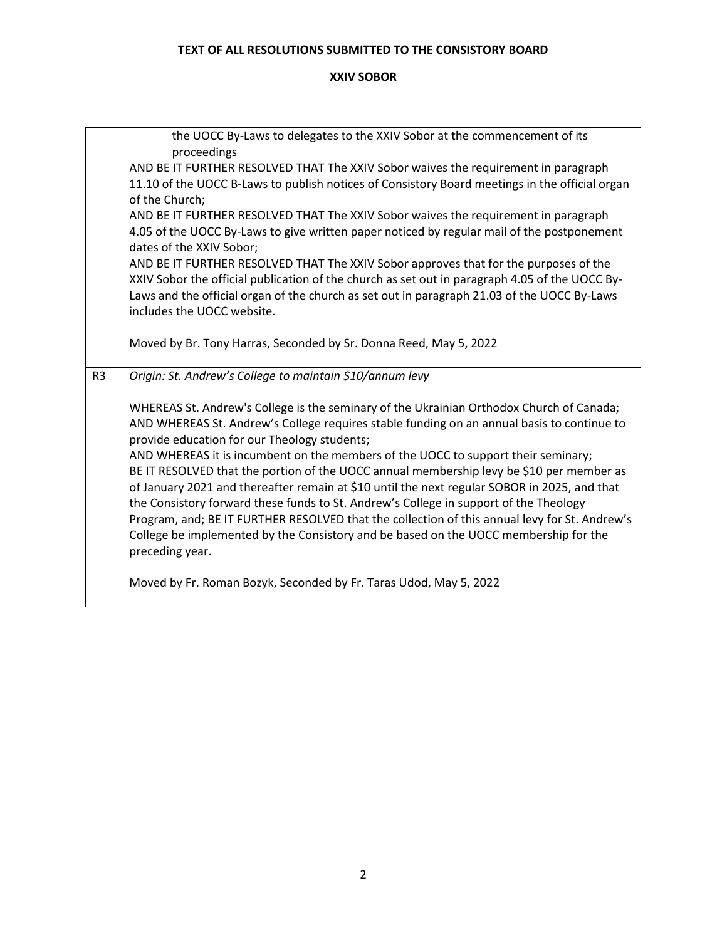|                | the UOCC By-Laws to delegates to the XXIV Sobor at the commencement of its                     |
|----------------|------------------------------------------------------------------------------------------------|
|                | proceedings                                                                                    |
|                | AND BE IT FURTHER RESOLVED THAT The XXIV Sobor waives the requirement in paragraph             |
|                | 11.10 of the UOCC B-Laws to publish notices of Consistory Board meetings in the official organ |
|                | of the Church;                                                                                 |
|                | AND BE IT FURTHER RESOLVED THAT The XXIV Sobor waives the requirement in paragraph             |
|                | 4.05 of the UOCC By-Laws to give written paper noticed by regular mail of the postponement     |
|                | dates of the XXIV Sobor;                                                                       |
|                | AND BE IT FURTHER RESOLVED THAT The XXIV Sobor approves that for the purposes of the           |
|                | XXIV Sobor the official publication of the church as set out in paragraph 4.05 of the UOCC By- |
|                | Laws and the official organ of the church as set out in paragraph 21.03 of the UOCC By-Laws    |
|                | includes the UOCC website.                                                                     |
|                |                                                                                                |
|                | Moved by Br. Tony Harras, Seconded by Sr. Donna Reed, May 5, 2022                              |
|                |                                                                                                |
|                |                                                                                                |
| R <sub>3</sub> | Origin: St. Andrew's College to maintain \$10/annum levy                                       |
|                |                                                                                                |
|                | WHEREAS St. Andrew's College is the seminary of the Ukrainian Orthodox Church of Canada;       |
|                | AND WHEREAS St. Andrew's College requires stable funding on an annual basis to continue to     |
|                | provide education for our Theology students;                                                   |
|                | AND WHEREAS it is incumbent on the members of the UOCC to support their seminary;              |
|                | BE IT RESOLVED that the portion of the UOCC annual membership levy be \$10 per member as       |
|                | of January 2021 and thereafter remain at \$10 until the next regular SOBOR in 2025, and that   |
|                | the Consistory forward these funds to St. Andrew's College in support of the Theology          |
|                | Program, and; BE IT FURTHER RESOLVED that the collection of this annual levy for St. Andrew's  |
|                | College be implemented by the Consistory and be based on the UOCC membership for the           |
|                | preceding year.                                                                                |
|                |                                                                                                |
|                | Moved by Fr. Roman Bozyk, Seconded by Fr. Taras Udod, May 5, 2022                              |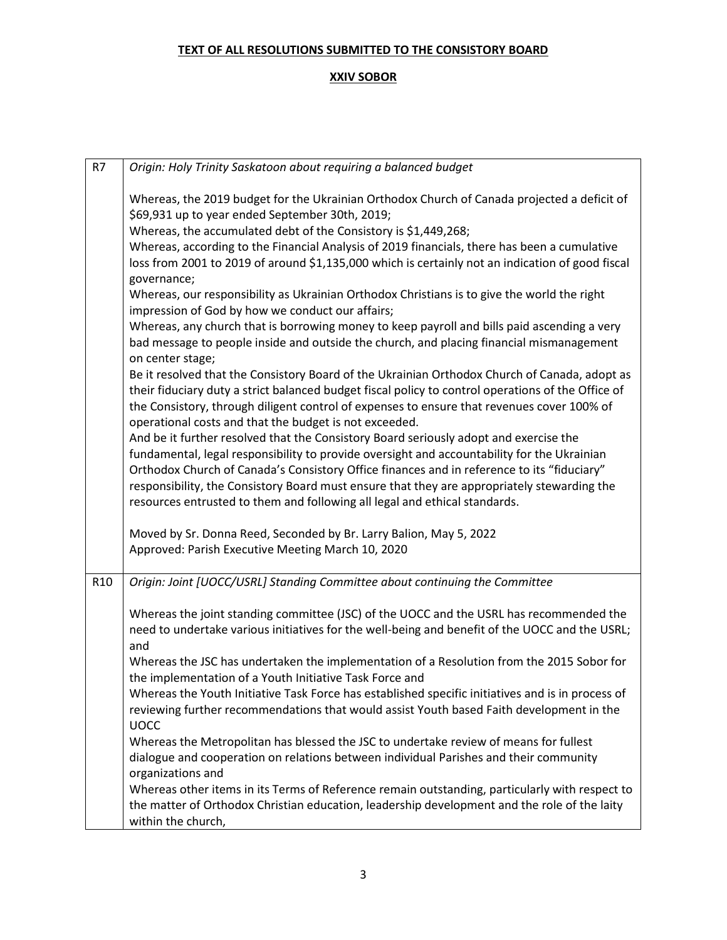| R7              | Origin: Holy Trinity Saskatoon about requiring a balanced budget                                                                                                                                                                                                                                                                                                                                                                                                |
|-----------------|-----------------------------------------------------------------------------------------------------------------------------------------------------------------------------------------------------------------------------------------------------------------------------------------------------------------------------------------------------------------------------------------------------------------------------------------------------------------|
|                 | Whereas, the 2019 budget for the Ukrainian Orthodox Church of Canada projected a deficit of<br>\$69,931 up to year ended September 30th, 2019;<br>Whereas, the accumulated debt of the Consistory is \$1,449,268;<br>Whereas, according to the Financial Analysis of 2019 financials, there has been a cumulative<br>loss from 2001 to 2019 of around \$1,135,000 which is certainly not an indication of good fiscal<br>governance;                            |
|                 | Whereas, our responsibility as Ukrainian Orthodox Christians is to give the world the right<br>impression of God by how we conduct our affairs;                                                                                                                                                                                                                                                                                                                 |
|                 | Whereas, any church that is borrowing money to keep payroll and bills paid ascending a very<br>bad message to people inside and outside the church, and placing financial mismanagement<br>on center stage;                                                                                                                                                                                                                                                     |
|                 | Be it resolved that the Consistory Board of the Ukrainian Orthodox Church of Canada, adopt as<br>their fiduciary duty a strict balanced budget fiscal policy to control operations of the Office of<br>the Consistory, through diligent control of expenses to ensure that revenues cover 100% of<br>operational costs and that the budget is not exceeded.                                                                                                     |
|                 | And be it further resolved that the Consistory Board seriously adopt and exercise the<br>fundamental, legal responsibility to provide oversight and accountability for the Ukrainian<br>Orthodox Church of Canada's Consistory Office finances and in reference to its "fiduciary"<br>responsibility, the Consistory Board must ensure that they are appropriately stewarding the<br>resources entrusted to them and following all legal and ethical standards. |
|                 | Moved by Sr. Donna Reed, Seconded by Br. Larry Balion, May 5, 2022<br>Approved: Parish Executive Meeting March 10, 2020                                                                                                                                                                                                                                                                                                                                         |
| R <sub>10</sub> | Origin: Joint [UOCC/USRL] Standing Committee about continuing the Committee                                                                                                                                                                                                                                                                                                                                                                                     |
|                 | Whereas the joint standing committee (JSC) of the UOCC and the USRL has recommended the<br>need to undertake various initiatives for the well-being and benefit of the UOCC and the USRL;<br>and                                                                                                                                                                                                                                                                |
|                 | Whereas the JSC has undertaken the implementation of a Resolution from the 2015 Sobor for<br>the implementation of a Youth Initiative Task Force and                                                                                                                                                                                                                                                                                                            |
|                 | Whereas the Youth Initiative Task Force has established specific initiatives and is in process of<br>reviewing further recommendations that would assist Youth based Faith development in the<br><b>UOCC</b>                                                                                                                                                                                                                                                    |
|                 | Whereas the Metropolitan has blessed the JSC to undertake review of means for fullest<br>dialogue and cooperation on relations between individual Parishes and their community<br>organizations and                                                                                                                                                                                                                                                             |
|                 | Whereas other items in its Terms of Reference remain outstanding, particularly with respect to<br>the matter of Orthodox Christian education, leadership development and the role of the laity<br>within the church,                                                                                                                                                                                                                                            |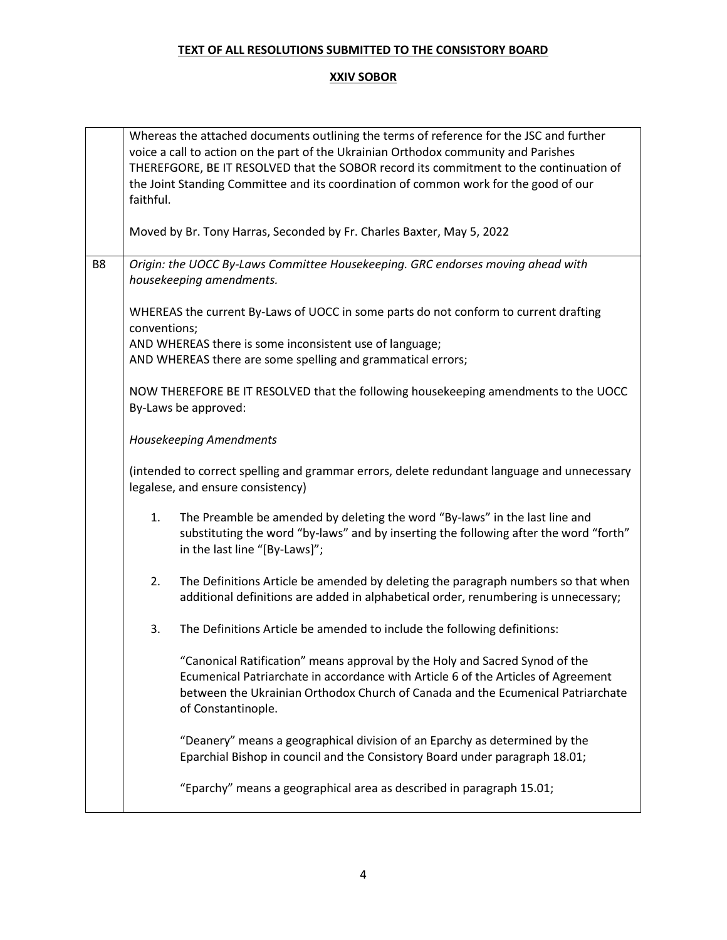|                | Whereas the attached documents outlining the terms of reference for the JSC and further<br>voice a call to action on the part of the Ukrainian Orthodox community and Parishes<br>THEREFGORE, BE IT RESOLVED that the SOBOR record its commitment to the continuation of<br>the Joint Standing Committee and its coordination of common work for the good of our<br>faithful. |                                                                                                                                                                                                                                                                           |  |  |  |
|----------------|-------------------------------------------------------------------------------------------------------------------------------------------------------------------------------------------------------------------------------------------------------------------------------------------------------------------------------------------------------------------------------|---------------------------------------------------------------------------------------------------------------------------------------------------------------------------------------------------------------------------------------------------------------------------|--|--|--|
|                | Moved by Br. Tony Harras, Seconded by Fr. Charles Baxter, May 5, 2022                                                                                                                                                                                                                                                                                                         |                                                                                                                                                                                                                                                                           |  |  |  |
| B <sub>8</sub> | Origin: the UOCC By-Laws Committee Housekeeping. GRC endorses moving ahead with<br>housekeeping amendments.                                                                                                                                                                                                                                                                   |                                                                                                                                                                                                                                                                           |  |  |  |
|                | WHEREAS the current By-Laws of UOCC in some parts do not conform to current drafting<br>conventions;                                                                                                                                                                                                                                                                          |                                                                                                                                                                                                                                                                           |  |  |  |
|                |                                                                                                                                                                                                                                                                                                                                                                               | AND WHEREAS there is some inconsistent use of language;<br>AND WHEREAS there are some spelling and grammatical errors;                                                                                                                                                    |  |  |  |
|                | NOW THEREFORE BE IT RESOLVED that the following housekeeping amendments to the UOCC<br>By-Laws be approved:                                                                                                                                                                                                                                                                   |                                                                                                                                                                                                                                                                           |  |  |  |
|                | Housekeeping Amendments                                                                                                                                                                                                                                                                                                                                                       |                                                                                                                                                                                                                                                                           |  |  |  |
|                | (intended to correct spelling and grammar errors, delete redundant language and unnecessary<br>legalese, and ensure consistency)                                                                                                                                                                                                                                              |                                                                                                                                                                                                                                                                           |  |  |  |
|                | 1.                                                                                                                                                                                                                                                                                                                                                                            | The Preamble be amended by deleting the word "By-laws" in the last line and<br>substituting the word "by-laws" and by inserting the following after the word "forth"<br>in the last line "[By-Laws]";                                                                     |  |  |  |
|                | 2.                                                                                                                                                                                                                                                                                                                                                                            | The Definitions Article be amended by deleting the paragraph numbers so that when<br>additional definitions are added in alphabetical order, renumbering is unnecessary;                                                                                                  |  |  |  |
|                | 3.                                                                                                                                                                                                                                                                                                                                                                            | The Definitions Article be amended to include the following definitions:                                                                                                                                                                                                  |  |  |  |
|                |                                                                                                                                                                                                                                                                                                                                                                               | "Canonical Ratification" means approval by the Holy and Sacred Synod of the<br>Ecumenical Patriarchate in accordance with Article 6 of the Articles of Agreement<br>between the Ukrainian Orthodox Church of Canada and the Ecumenical Patriarchate<br>of Constantinople. |  |  |  |
|                |                                                                                                                                                                                                                                                                                                                                                                               | "Deanery" means a geographical division of an Eparchy as determined by the<br>Eparchial Bishop in council and the Consistory Board under paragraph 18.01;                                                                                                                 |  |  |  |
|                |                                                                                                                                                                                                                                                                                                                                                                               | "Eparchy" means a geographical area as described in paragraph 15.01;                                                                                                                                                                                                      |  |  |  |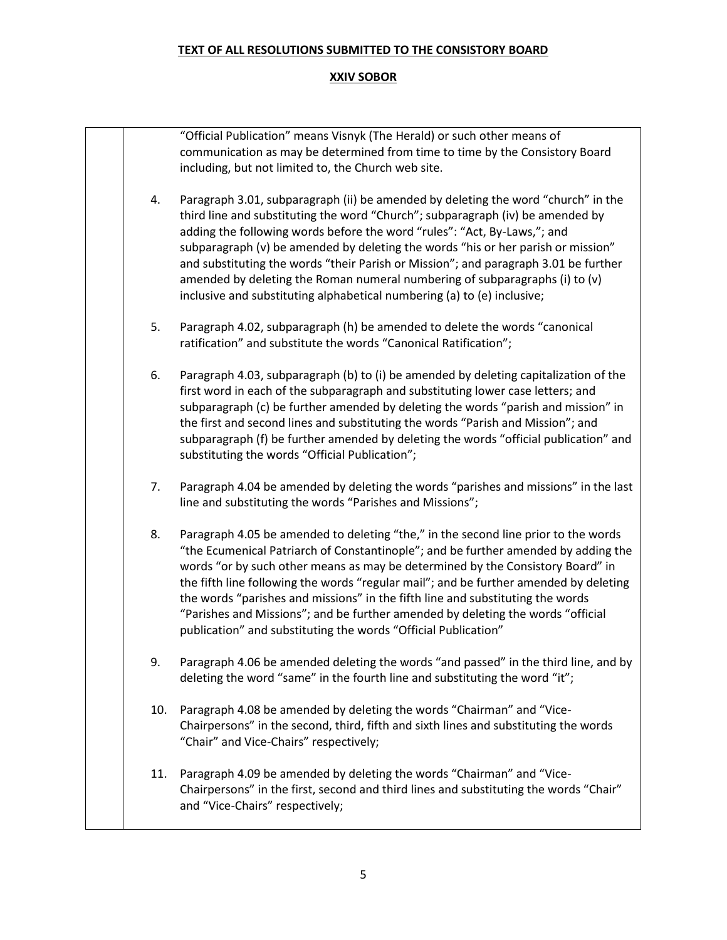|     | "Official Publication" means Visnyk (The Herald) or such other means of                                                  |
|-----|--------------------------------------------------------------------------------------------------------------------------|
|     | communication as may be determined from time to time by the Consistory Board                                             |
|     | including, but not limited to, the Church web site.                                                                      |
|     |                                                                                                                          |
| 4.  | Paragraph 3.01, subparagraph (ii) be amended by deleting the word "church" in the                                        |
|     | third line and substituting the word "Church"; subparagraph (iv) be amended by                                           |
|     | adding the following words before the word "rules": "Act, By-Laws,"; and                                                 |
|     | subparagraph (v) be amended by deleting the words "his or her parish or mission"                                         |
|     | and substituting the words "their Parish or Mission"; and paragraph 3.01 be further                                      |
|     | amended by deleting the Roman numeral numbering of subparagraphs (i) to (v)                                              |
|     | inclusive and substituting alphabetical numbering (a) to (e) inclusive;                                                  |
|     |                                                                                                                          |
| 5.  | Paragraph 4.02, subparagraph (h) be amended to delete the words "canonical                                               |
|     | ratification" and substitute the words "Canonical Ratification";                                                         |
|     |                                                                                                                          |
| 6.  | Paragraph 4.03, subparagraph (b) to (i) be amended by deleting capitalization of the                                     |
|     | first word in each of the subparagraph and substituting lower case letters; and                                          |
|     | subparagraph (c) be further amended by deleting the words "parish and mission" in                                        |
|     | the first and second lines and substituting the words "Parish and Mission"; and                                          |
|     | subparagraph (f) be further amended by deleting the words "official publication" and                                     |
|     | substituting the words "Official Publication";                                                                           |
|     |                                                                                                                          |
| 7.  | Paragraph 4.04 be amended by deleting the words "parishes and missions" in the last                                      |
|     | line and substituting the words "Parishes and Missions";                                                                 |
|     |                                                                                                                          |
|     | Paragraph 4.05 be amended to deleting "the," in the second line prior to the words                                       |
|     | "the Ecumenical Patriarch of Constantinople"; and be further amended by adding the                                       |
|     | words "or by such other means as may be determined by the Consistory Board" in                                           |
|     | the fifth line following the words "regular mail"; and be further amended by deleting                                    |
|     | the words "parishes and missions" in the fifth line and substituting the words                                           |
|     | "Parishes and Missions"; and be further amended by deleting the words "official                                          |
|     | publication" and substituting the words "Official Publication"                                                           |
|     |                                                                                                                          |
|     | Paragraph 4.06 be amended deleting the words "and passed" in the third line, and by                                      |
|     | deleting the word "same" in the fourth line and substituting the word "it";                                              |
|     | Paragraph 4.08 be amended by deleting the words "Chairman" and "Vice-                                                    |
|     | Chairpersons" in the second, third, fifth and sixth lines and substituting the words                                     |
|     | "Chair" and Vice-Chairs" respectively;                                                                                   |
|     |                                                                                                                          |
| 11. | Paragraph 4.09 be amended by deleting the words "Chairman" and "Vice-                                                    |
|     |                                                                                                                          |
|     |                                                                                                                          |
|     | Chairpersons" in the first, second and third lines and substituting the words "Chair"<br>and "Vice-Chairs" respectively; |
|     | 8.<br>9.<br>10.                                                                                                          |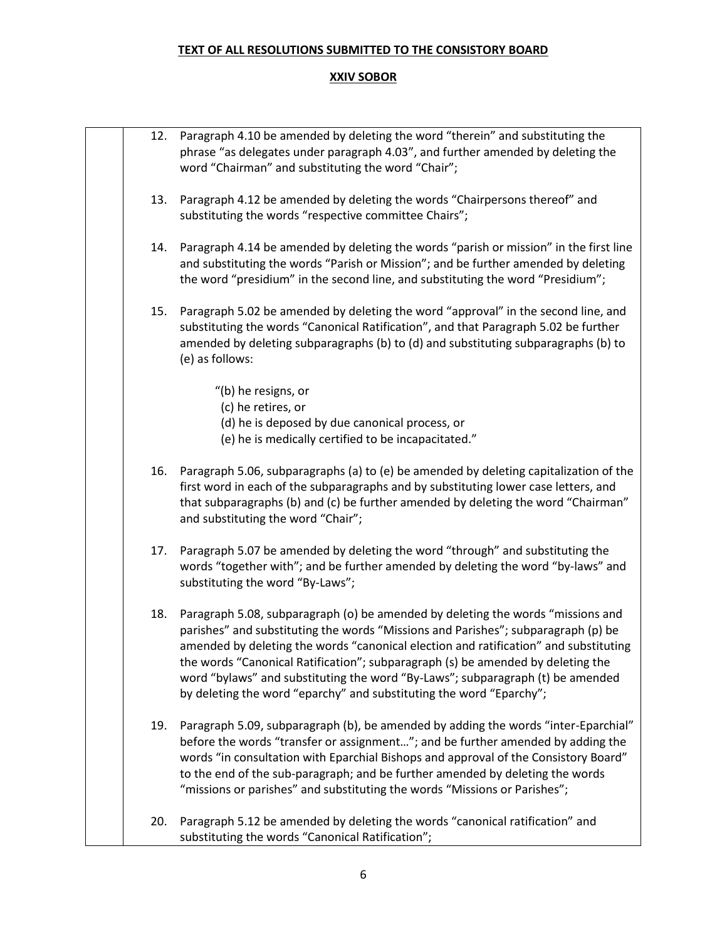| 12. | Paragraph 4.10 be amended by deleting the word "therein" and substituting the<br>phrase "as delegates under paragraph 4.03", and further amended by deleting the<br>word "Chairman" and substituting the word "Chair";                                                                                                                                                                                                                                                                                   |
|-----|----------------------------------------------------------------------------------------------------------------------------------------------------------------------------------------------------------------------------------------------------------------------------------------------------------------------------------------------------------------------------------------------------------------------------------------------------------------------------------------------------------|
| 13. | Paragraph 4.12 be amended by deleting the words "Chairpersons thereof" and<br>substituting the words "respective committee Chairs";                                                                                                                                                                                                                                                                                                                                                                      |
| 14. | Paragraph 4.14 be amended by deleting the words "parish or mission" in the first line<br>and substituting the words "Parish or Mission"; and be further amended by deleting<br>the word "presidium" in the second line, and substituting the word "Presidium";                                                                                                                                                                                                                                           |
| 15. | Paragraph 5.02 be amended by deleting the word "approval" in the second line, and<br>substituting the words "Canonical Ratification", and that Paragraph 5.02 be further<br>amended by deleting subparagraphs (b) to (d) and substituting subparagraphs (b) to<br>(e) as follows:                                                                                                                                                                                                                        |
|     | "(b) he resigns, or                                                                                                                                                                                                                                                                                                                                                                                                                                                                                      |
|     | (c) he retires, or                                                                                                                                                                                                                                                                                                                                                                                                                                                                                       |
|     | (d) he is deposed by due canonical process, or<br>(e) he is medically certified to be incapacitated."                                                                                                                                                                                                                                                                                                                                                                                                    |
| 16. | Paragraph 5.06, subparagraphs (a) to (e) be amended by deleting capitalization of the<br>first word in each of the subparagraphs and by substituting lower case letters, and<br>that subparagraphs (b) and (c) be further amended by deleting the word "Chairman"<br>and substituting the word "Chair";                                                                                                                                                                                                  |
| 17. | Paragraph 5.07 be amended by deleting the word "through" and substituting the<br>words "together with"; and be further amended by deleting the word "by-laws" and<br>substituting the word "By-Laws";                                                                                                                                                                                                                                                                                                    |
| 18. | Paragraph 5.08, subparagraph (o) be amended by deleting the words "missions and<br>parishes" and substituting the words "Missions and Parishes"; subparagraph (p) be<br>amended by deleting the words "canonical election and ratification" and substituting<br>the words "Canonical Ratification"; subparagraph (s) be amended by deleting the<br>word "bylaws" and substituting the word "By-Laws"; subparagraph (t) be amended<br>by deleting the word "eparchy" and substituting the word "Eparchy"; |
| 19. | Paragraph 5.09, subparagraph (b), be amended by adding the words "inter-Eparchial"<br>before the words "transfer or assignment"; and be further amended by adding the<br>words "in consultation with Eparchial Bishops and approval of the Consistory Board"<br>to the end of the sub-paragraph; and be further amended by deleting the words<br>"missions or parishes" and substituting the words "Missions or Parishes";                                                                               |
| 20. | Paragraph 5.12 be amended by deleting the words "canonical ratification" and<br>substituting the words "Canonical Ratification";                                                                                                                                                                                                                                                                                                                                                                         |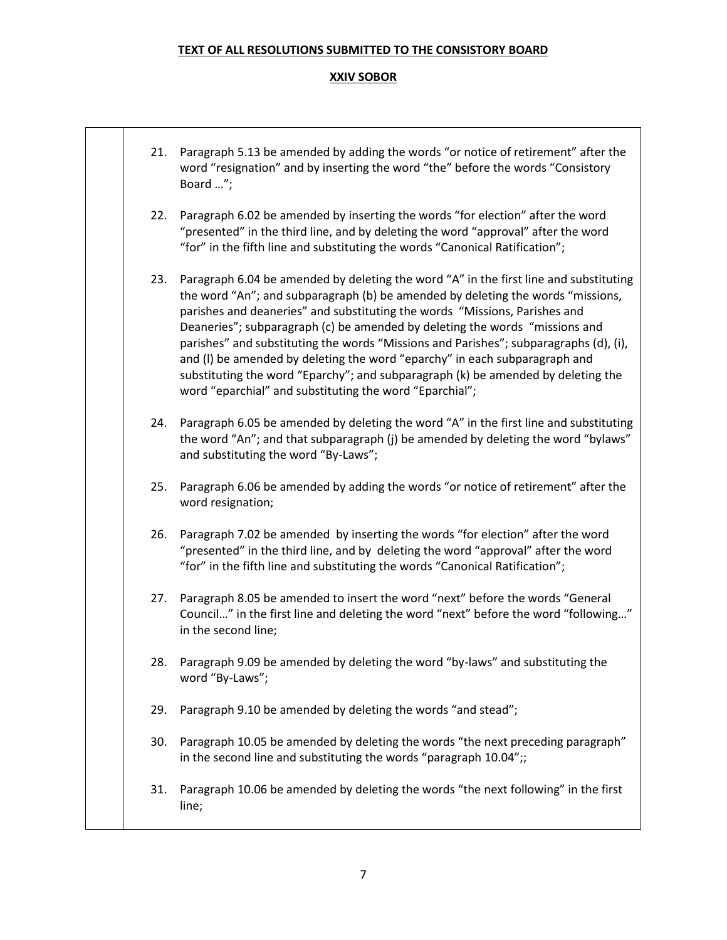| 21. | Paragraph 5.13 be amended by adding the words "or notice of retirement" after the<br>word "resignation" and by inserting the word "the" before the words "Consistory<br>Board ";                                                                                                                                                                                                                                                                                                                                                                                                                                                                            |
|-----|-------------------------------------------------------------------------------------------------------------------------------------------------------------------------------------------------------------------------------------------------------------------------------------------------------------------------------------------------------------------------------------------------------------------------------------------------------------------------------------------------------------------------------------------------------------------------------------------------------------------------------------------------------------|
| 22. | Paragraph 6.02 be amended by inserting the words "for election" after the word<br>"presented" in the third line, and by deleting the word "approval" after the word<br>"for" in the fifth line and substituting the words "Canonical Ratification";                                                                                                                                                                                                                                                                                                                                                                                                         |
| 23. | Paragraph 6.04 be amended by deleting the word "A" in the first line and substituting<br>the word "An"; and subparagraph (b) be amended by deleting the words "missions,<br>parishes and deaneries" and substituting the words "Missions, Parishes and<br>Deaneries"; subparagraph (c) be amended by deleting the words "missions and<br>parishes" and substituting the words "Missions and Parishes"; subparagraphs (d), (i),<br>and (I) be amended by deleting the word "eparchy" in each subparagraph and<br>substituting the word "Eparchy"; and subparagraph (k) be amended by deleting the<br>word "eparchial" and substituting the word "Eparchial"; |
| 24. | Paragraph 6.05 be amended by deleting the word "A" in the first line and substituting<br>the word "An"; and that subparagraph (j) be amended by deleting the word "bylaws"<br>and substituting the word "By-Laws";                                                                                                                                                                                                                                                                                                                                                                                                                                          |
| 25. | Paragraph 6.06 be amended by adding the words "or notice of retirement" after the<br>word resignation;                                                                                                                                                                                                                                                                                                                                                                                                                                                                                                                                                      |
| 26. | Paragraph 7.02 be amended by inserting the words "for election" after the word<br>"presented" in the third line, and by deleting the word "approval" after the word<br>"for" in the fifth line and substituting the words "Canonical Ratification";                                                                                                                                                                                                                                                                                                                                                                                                         |
| 27. | Paragraph 8.05 be amended to insert the word "next" before the words "General<br>Council" in the first line and deleting the word "next" before the word "following"<br>in the second line;                                                                                                                                                                                                                                                                                                                                                                                                                                                                 |
| 28. | Paragraph 9.09 be amended by deleting the word "by-laws" and substituting the<br>word "By-Laws";                                                                                                                                                                                                                                                                                                                                                                                                                                                                                                                                                            |
| 29. | Paragraph 9.10 be amended by deleting the words "and stead";                                                                                                                                                                                                                                                                                                                                                                                                                                                                                                                                                                                                |
| 30. | Paragraph 10.05 be amended by deleting the words "the next preceding paragraph"<br>in the second line and substituting the words "paragraph 10.04";;                                                                                                                                                                                                                                                                                                                                                                                                                                                                                                        |
| 31. | Paragraph 10.06 be amended by deleting the words "the next following" in the first<br>line;                                                                                                                                                                                                                                                                                                                                                                                                                                                                                                                                                                 |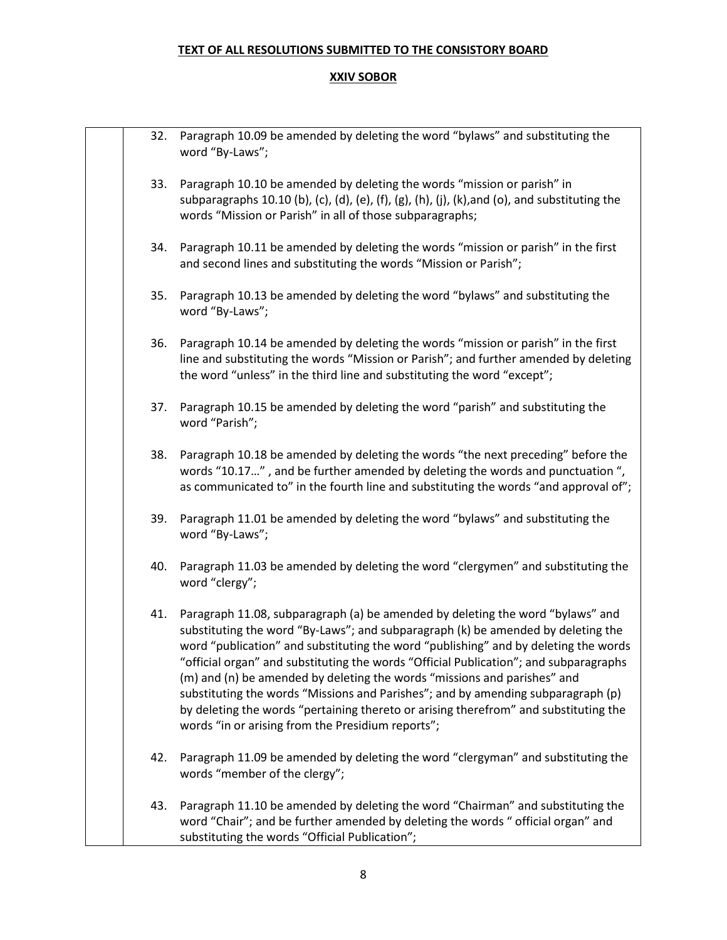| 32. | Paragraph 10.09 be amended by deleting the word "bylaws" and substituting the<br>word "By-Laws";                                                                                                                                                                                                                                                                                                                                                                                                                                                                                                                                                                |
|-----|-----------------------------------------------------------------------------------------------------------------------------------------------------------------------------------------------------------------------------------------------------------------------------------------------------------------------------------------------------------------------------------------------------------------------------------------------------------------------------------------------------------------------------------------------------------------------------------------------------------------------------------------------------------------|
| 33. | Paragraph 10.10 be amended by deleting the words "mission or parish" in<br>subparagraphs 10.10 (b), (c), (d), (e), (f), (g), (h), (j), (k), and (o), and substituting the<br>words "Mission or Parish" in all of those subparagraphs;                                                                                                                                                                                                                                                                                                                                                                                                                           |
| 34. | Paragraph 10.11 be amended by deleting the words "mission or parish" in the first<br>and second lines and substituting the words "Mission or Parish";                                                                                                                                                                                                                                                                                                                                                                                                                                                                                                           |
| 35. | Paragraph 10.13 be amended by deleting the word "bylaws" and substituting the<br>word "By-Laws";                                                                                                                                                                                                                                                                                                                                                                                                                                                                                                                                                                |
| 36. | Paragraph 10.14 be amended by deleting the words "mission or parish" in the first<br>line and substituting the words "Mission or Parish"; and further amended by deleting<br>the word "unless" in the third line and substituting the word "except";                                                                                                                                                                                                                                                                                                                                                                                                            |
| 37. | Paragraph 10.15 be amended by deleting the word "parish" and substituting the<br>word "Parish";                                                                                                                                                                                                                                                                                                                                                                                                                                                                                                                                                                 |
| 38. | Paragraph 10.18 be amended by deleting the words "the next preceding" before the<br>words "10.17", and be further amended by deleting the words and punctuation ",<br>as communicated to" in the fourth line and substituting the words "and approval of";                                                                                                                                                                                                                                                                                                                                                                                                      |
| 39. | Paragraph 11.01 be amended by deleting the word "bylaws" and substituting the<br>word "By-Laws";                                                                                                                                                                                                                                                                                                                                                                                                                                                                                                                                                                |
| 40. | Paragraph 11.03 be amended by deleting the word "clergymen" and substituting the<br>word "clergy";                                                                                                                                                                                                                                                                                                                                                                                                                                                                                                                                                              |
| 41. | Paragraph 11.08, subparagraph (a) be amended by deleting the word "bylaws" and<br>substituting the word "By-Laws"; and subparagraph (k) be amended by deleting the<br>word "publication" and substituting the word "publishing" and by deleting the words<br>'official organ" and substituting the words "Official Publication"; and subparagraphs<br>(m) and (n) be amended by deleting the words "missions and parishes" and<br>substituting the words "Missions and Parishes"; and by amending subparagraph (p)<br>by deleting the words "pertaining thereto or arising therefrom" and substituting the<br>words "in or arising from the Presidium reports"; |
| 42. | Paragraph 11.09 be amended by deleting the word "clergyman" and substituting the<br>words "member of the clergy";                                                                                                                                                                                                                                                                                                                                                                                                                                                                                                                                               |
| 43. | Paragraph 11.10 be amended by deleting the word "Chairman" and substituting the<br>word "Chair"; and be further amended by deleting the words " official organ" and<br>substituting the words "Official Publication";                                                                                                                                                                                                                                                                                                                                                                                                                                           |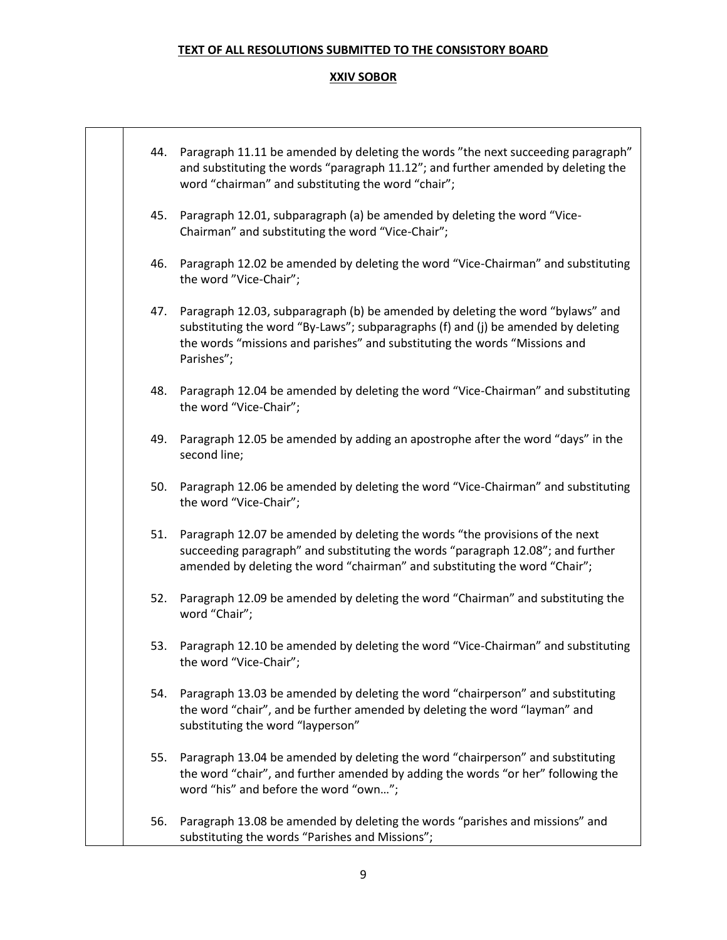|     | 44. Paragraph 11.11 be amended by deleting the words "the next succeeding paragraph"<br>and substituting the words "paragraph 11.12"; and further amended by deleting the<br>word "chairman" and substituting the word "chair";                                 |
|-----|-----------------------------------------------------------------------------------------------------------------------------------------------------------------------------------------------------------------------------------------------------------------|
| 45. | Paragraph 12.01, subparagraph (a) be amended by deleting the word "Vice-<br>Chairman" and substituting the word "Vice-Chair";                                                                                                                                   |
| 46. | Paragraph 12.02 be amended by deleting the word "Vice-Chairman" and substituting<br>the word "Vice-Chair";                                                                                                                                                      |
| 47. | Paragraph 12.03, subparagraph (b) be amended by deleting the word "bylaws" and<br>substituting the word "By-Laws"; subparagraphs (f) and (j) be amended by deleting<br>the words "missions and parishes" and substituting the words "Missions and<br>Parishes"; |
| 48. | Paragraph 12.04 be amended by deleting the word "Vice-Chairman" and substituting<br>the word "Vice-Chair";                                                                                                                                                      |
| 49. | Paragraph 12.05 be amended by adding an apostrophe after the word "days" in the<br>second line;                                                                                                                                                                 |
| 50. | Paragraph 12.06 be amended by deleting the word "Vice-Chairman" and substituting<br>the word "Vice-Chair";                                                                                                                                                      |
| 51. | Paragraph 12.07 be amended by deleting the words "the provisions of the next<br>succeeding paragraph" and substituting the words "paragraph 12.08"; and further<br>amended by deleting the word "chairman" and substituting the word "Chair";                   |
| 52. | Paragraph 12.09 be amended by deleting the word "Chairman" and substituting the<br>word "Chair";                                                                                                                                                                |
|     | 53. Paragraph 12.10 be amended by deleting the word "Vice-Chairman" and substituting<br>the word "Vice-Chair";                                                                                                                                                  |
| 54. | Paragraph 13.03 be amended by deleting the word "chairperson" and substituting<br>the word "chair", and be further amended by deleting the word "layman" and<br>substituting the word "layperson"                                                               |
| 55. | Paragraph 13.04 be amended by deleting the word "chairperson" and substituting<br>the word "chair", and further amended by adding the words "or her" following the<br>word "his" and before the word "own";                                                     |
| 56. | Paragraph 13.08 be amended by deleting the words "parishes and missions" and<br>substituting the words "Parishes and Missions";                                                                                                                                 |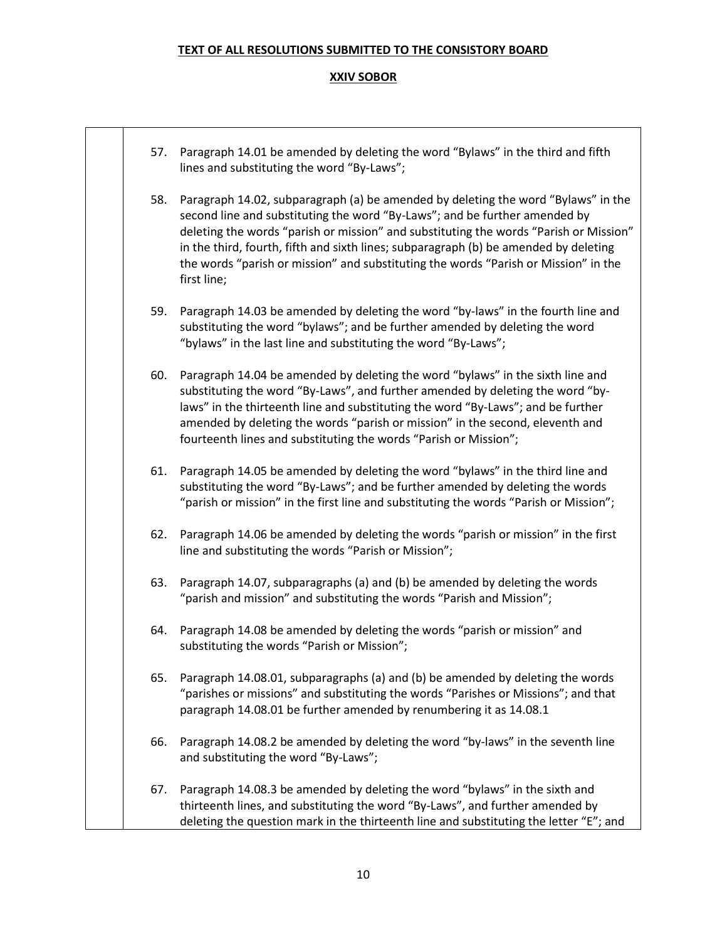| 57. | Paragraph 14.01 be amended by deleting the word "Bylaws" in the third and fifth<br>lines and substituting the word "By-Laws";                                                                                                                                                                                                                                                                                                                          |
|-----|--------------------------------------------------------------------------------------------------------------------------------------------------------------------------------------------------------------------------------------------------------------------------------------------------------------------------------------------------------------------------------------------------------------------------------------------------------|
| 58. | Paragraph 14.02, subparagraph (a) be amended by deleting the word "Bylaws" in the<br>second line and substituting the word "By-Laws"; and be further amended by<br>deleting the words "parish or mission" and substituting the words "Parish or Mission"<br>in the third, fourth, fifth and sixth lines; subparagraph (b) be amended by deleting<br>the words "parish or mission" and substituting the words "Parish or Mission" in the<br>first line; |
| 59. | Paragraph 14.03 be amended by deleting the word "by-laws" in the fourth line and<br>substituting the word "bylaws"; and be further amended by deleting the word<br>"bylaws" in the last line and substituting the word "By-Laws";                                                                                                                                                                                                                      |
| 60. | Paragraph 14.04 be amended by deleting the word "bylaws" in the sixth line and<br>substituting the word "By-Laws", and further amended by deleting the word "by-<br>laws" in the thirteenth line and substituting the word "By-Laws"; and be further<br>amended by deleting the words "parish or mission" in the second, eleventh and<br>fourteenth lines and substituting the words "Parish or Mission";                                              |
| 61. | Paragraph 14.05 be amended by deleting the word "bylaws" in the third line and<br>substituting the word "By-Laws"; and be further amended by deleting the words<br>"parish or mission" in the first line and substituting the words "Parish or Mission";                                                                                                                                                                                               |
| 62. | Paragraph 14.06 be amended by deleting the words "parish or mission" in the first<br>line and substituting the words "Parish or Mission";                                                                                                                                                                                                                                                                                                              |
| 63. | Paragraph 14.07, subparagraphs (a) and (b) be amended by deleting the words<br>"parish and mission" and substituting the words "Parish and Mission";                                                                                                                                                                                                                                                                                                   |
| 64. | Paragraph 14.08 be amended by deleting the words "parish or mission" and<br>substituting the words "Parish or Mission";                                                                                                                                                                                                                                                                                                                                |
| 65. | Paragraph 14.08.01, subparagraphs (a) and (b) be amended by deleting the words<br>"parishes or missions" and substituting the words "Parishes or Missions"; and that<br>paragraph 14.08.01 be further amended by renumbering it as 14.08.1                                                                                                                                                                                                             |
| 66. | Paragraph 14.08.2 be amended by deleting the word "by-laws" in the seventh line<br>and substituting the word "By-Laws";                                                                                                                                                                                                                                                                                                                                |
| 67. | Paragraph 14.08.3 be amended by deleting the word "bylaws" in the sixth and<br>thirteenth lines, and substituting the word "By-Laws", and further amended by<br>deleting the question mark in the thirteenth line and substituting the letter "E"; and                                                                                                                                                                                                 |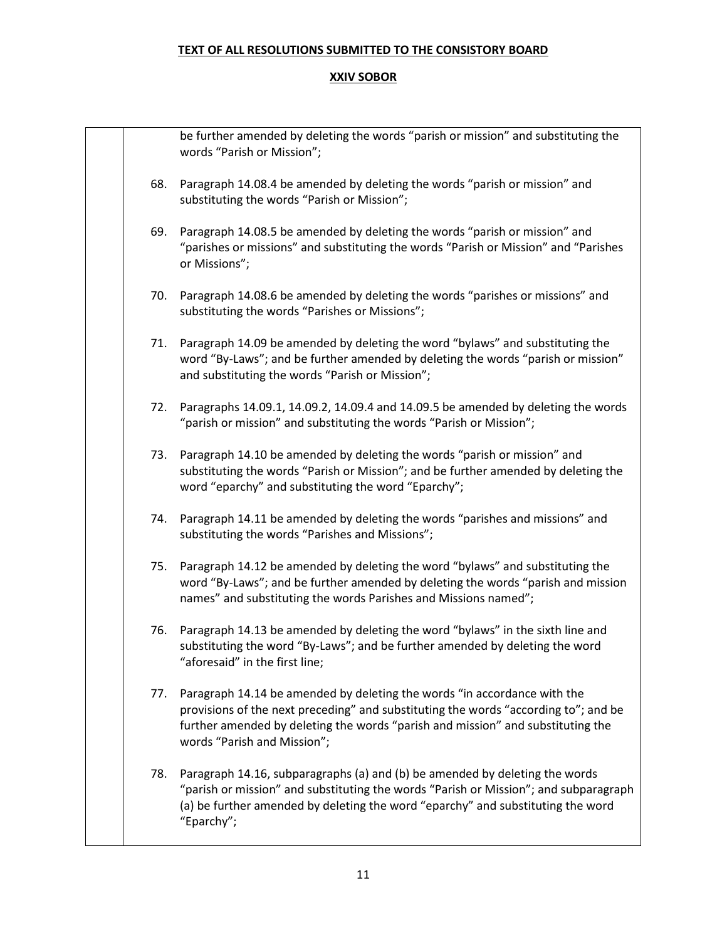|     | be further amended by deleting the words "parish or mission" and substituting the<br>words "Parish or Mission";                                                                                                                                                                   |
|-----|-----------------------------------------------------------------------------------------------------------------------------------------------------------------------------------------------------------------------------------------------------------------------------------|
| 68. | Paragraph 14.08.4 be amended by deleting the words "parish or mission" and<br>substituting the words "Parish or Mission";                                                                                                                                                         |
| 69. | Paragraph 14.08.5 be amended by deleting the words "parish or mission" and<br>"parishes or missions" and substituting the words "Parish or Mission" and "Parishes<br>or Missions";                                                                                                |
| 70. | Paragraph 14.08.6 be amended by deleting the words "parishes or missions" and<br>substituting the words "Parishes or Missions";                                                                                                                                                   |
| 71. | Paragraph 14.09 be amended by deleting the word "bylaws" and substituting the<br>word "By-Laws"; and be further amended by deleting the words "parish or mission"<br>and substituting the words "Parish or Mission";                                                              |
| 72. | Paragraphs 14.09.1, 14.09.2, 14.09.4 and 14.09.5 be amended by deleting the words<br>"parish or mission" and substituting the words "Parish or Mission";                                                                                                                          |
| 73. | Paragraph 14.10 be amended by deleting the words "parish or mission" and<br>substituting the words "Parish or Mission"; and be further amended by deleting the<br>word "eparchy" and substituting the word "Eparchy";                                                             |
| 74. | Paragraph 14.11 be amended by deleting the words "parishes and missions" and<br>substituting the words "Parishes and Missions";                                                                                                                                                   |
| 75. | Paragraph 14.12 be amended by deleting the word "bylaws" and substituting the<br>word "By-Laws"; and be further amended by deleting the words "parish and mission<br>names" and substituting the words Parishes and Missions named";                                              |
| 76. | Paragraph 14.13 be amended by deleting the word "bylaws" in the sixth line and<br>substituting the word "By-Laws"; and be further amended by deleting the word<br>"aforesaid" in the first line;                                                                                  |
| 77. | Paragraph 14.14 be amended by deleting the words "in accordance with the<br>provisions of the next preceding" and substituting the words "according to"; and be<br>further amended by deleting the words "parish and mission" and substituting the<br>words "Parish and Mission"; |
| 78. | Paragraph 14.16, subparagraphs (a) and (b) be amended by deleting the words<br>"parish or mission" and substituting the words "Parish or Mission"; and subparagraph<br>(a) be further amended by deleting the word "eparchy" and substituting the word<br>"Eparchy";              |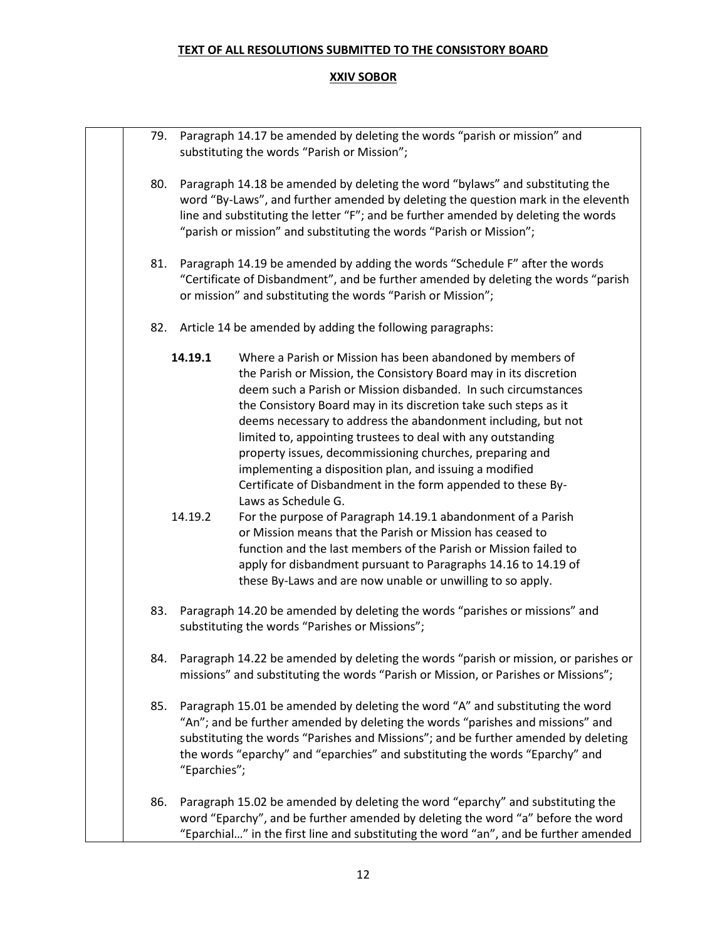| 79. Paragraph 14.17 be amended by deleting the words "parish or mission" and<br>substituting the words "Parish or Mission"; |              |                                                                                                                                                                                                                                                                                                                                                                                                                                                                                                                                                                                                                      |
|-----------------------------------------------------------------------------------------------------------------------------|--------------|----------------------------------------------------------------------------------------------------------------------------------------------------------------------------------------------------------------------------------------------------------------------------------------------------------------------------------------------------------------------------------------------------------------------------------------------------------------------------------------------------------------------------------------------------------------------------------------------------------------------|
| 80.                                                                                                                         |              | Paragraph 14.18 be amended by deleting the word "bylaws" and substituting the<br>word "By-Laws", and further amended by deleting the question mark in the eleventh<br>line and substituting the letter "F"; and be further amended by deleting the words<br>"parish or mission" and substituting the words "Parish or Mission";                                                                                                                                                                                                                                                                                      |
| 81.                                                                                                                         |              | Paragraph 14.19 be amended by adding the words "Schedule F" after the words<br>"Certificate of Disbandment", and be further amended by deleting the words "parish<br>or mission" and substituting the words "Parish or Mission";                                                                                                                                                                                                                                                                                                                                                                                     |
| 82.                                                                                                                         |              | Article 14 be amended by adding the following paragraphs:                                                                                                                                                                                                                                                                                                                                                                                                                                                                                                                                                            |
|                                                                                                                             | 14.19.1      | Where a Parish or Mission has been abandoned by members of<br>the Parish or Mission, the Consistory Board may in its discretion<br>deem such a Parish or Mission disbanded. In such circumstances<br>the Consistory Board may in its discretion take such steps as it<br>deems necessary to address the abandonment including, but not<br>limited to, appointing trustees to deal with any outstanding<br>property issues, decommissioning churches, preparing and<br>implementing a disposition plan, and issuing a modified<br>Certificate of Disbandment in the form appended to these By-<br>Laws as Schedule G. |
|                                                                                                                             | 14.19.2      | For the purpose of Paragraph 14.19.1 abandonment of a Parish<br>or Mission means that the Parish or Mission has ceased to<br>function and the last members of the Parish or Mission failed to<br>apply for disbandment pursuant to Paragraphs 14.16 to 14.19 of<br>these By-Laws and are now unable or unwilling to so apply.                                                                                                                                                                                                                                                                                        |
| 83.                                                                                                                         |              | Paragraph 14.20 be amended by deleting the words "parishes or missions" and<br>substituting the words "Parishes or Missions";                                                                                                                                                                                                                                                                                                                                                                                                                                                                                        |
| 84.                                                                                                                         |              | Paragraph 14.22 be amended by deleting the words "parish or mission, or parishes or<br>missions" and substituting the words "Parish or Mission, or Parishes or Missions";                                                                                                                                                                                                                                                                                                                                                                                                                                            |
| 85.                                                                                                                         | "Eparchies"; | Paragraph 15.01 be amended by deleting the word "A" and substituting the word<br>"An"; and be further amended by deleting the words "parishes and missions" and<br>substituting the words "Parishes and Missions"; and be further amended by deleting<br>the words "eparchy" and "eparchies" and substituting the words "Eparchy" and                                                                                                                                                                                                                                                                                |
| 86.                                                                                                                         |              | Paragraph 15.02 be amended by deleting the word "eparchy" and substituting the<br>word "Eparchy", and be further amended by deleting the word "a" before the word<br>"Eparchial" in the first line and substituting the word "an", and be further amended                                                                                                                                                                                                                                                                                                                                                            |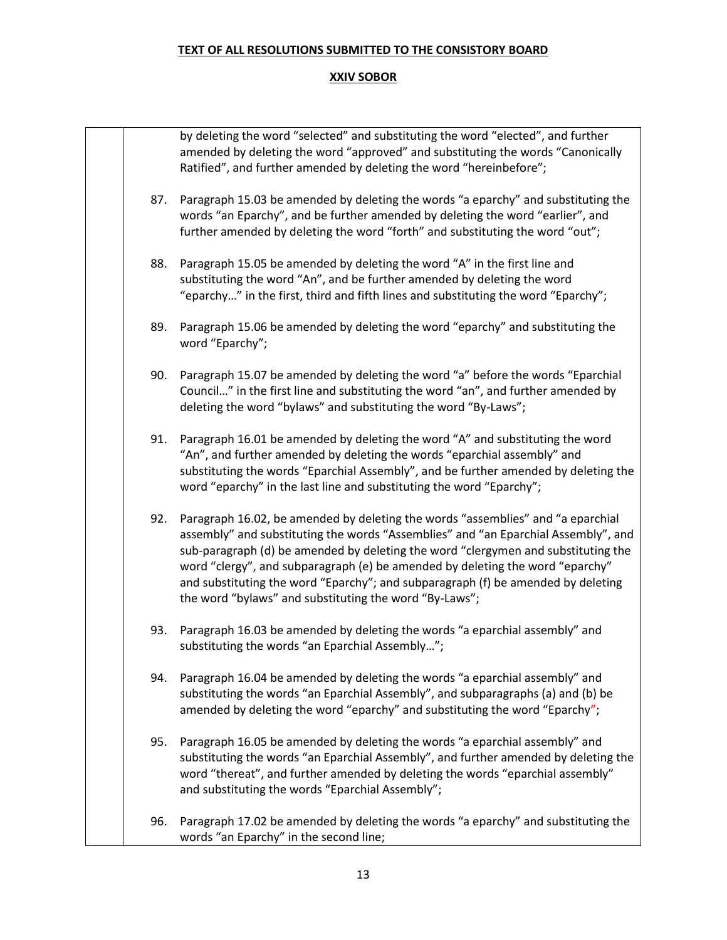|     | by deleting the word "selected" and substituting the word "elected", and further<br>amended by deleting the word "approved" and substituting the words "Canonically<br>Ratified", and further amended by deleting the word "hereinbefore";                                                                                                                                                                                                                                                |
|-----|-------------------------------------------------------------------------------------------------------------------------------------------------------------------------------------------------------------------------------------------------------------------------------------------------------------------------------------------------------------------------------------------------------------------------------------------------------------------------------------------|
| 87. | Paragraph 15.03 be amended by deleting the words "a eparchy" and substituting the<br>words "an Eparchy", and be further amended by deleting the word "earlier", and<br>further amended by deleting the word "forth" and substituting the word "out";                                                                                                                                                                                                                                      |
| 88. | Paragraph 15.05 be amended by deleting the word "A" in the first line and<br>substituting the word "An", and be further amended by deleting the word<br>"eparchy" in the first, third and fifth lines and substituting the word "Eparchy";                                                                                                                                                                                                                                                |
| 89. | Paragraph 15.06 be amended by deleting the word "eparchy" and substituting the<br>word "Eparchy";                                                                                                                                                                                                                                                                                                                                                                                         |
| 90. | Paragraph 15.07 be amended by deleting the word "a" before the words "Eparchial<br>Council" in the first line and substituting the word "an", and further amended by<br>deleting the word "bylaws" and substituting the word "By-Laws";                                                                                                                                                                                                                                                   |
| 91. | Paragraph 16.01 be amended by deleting the word "A" and substituting the word<br>"An", and further amended by deleting the words "eparchial assembly" and<br>substituting the words "Eparchial Assembly", and be further amended by deleting the<br>word "eparchy" in the last line and substituting the word "Eparchy";                                                                                                                                                                  |
| 92. | Paragraph 16.02, be amended by deleting the words "assemblies" and "a eparchial<br>assembly" and substituting the words "Assemblies" and "an Eparchial Assembly", and<br>sub-paragraph (d) be amended by deleting the word "clergymen and substituting the<br>word "clergy", and subparagraph (e) be amended by deleting the word "eparchy"<br>and substituting the word "Eparchy"; and subparagraph (f) be amended by deleting<br>the word "bylaws" and substituting the word "By-Laws"; |
| 93. | Paragraph 16.03 be amended by deleting the words "a eparchial assembly" and<br>substituting the words "an Eparchial Assembly";                                                                                                                                                                                                                                                                                                                                                            |
| 94. | Paragraph 16.04 be amended by deleting the words "a eparchial assembly" and<br>substituting the words "an Eparchial Assembly", and subparagraphs (a) and (b) be<br>amended by deleting the word "eparchy" and substituting the word "Eparchy";                                                                                                                                                                                                                                            |
| 95. | Paragraph 16.05 be amended by deleting the words "a eparchial assembly" and<br>substituting the words "an Eparchial Assembly", and further amended by deleting the<br>word "thereat", and further amended by deleting the words "eparchial assembly"<br>and substituting the words "Eparchial Assembly";                                                                                                                                                                                  |
| 96. | Paragraph 17.02 be amended by deleting the words "a eparchy" and substituting the<br>words "an Eparchy" in the second line;                                                                                                                                                                                                                                                                                                                                                               |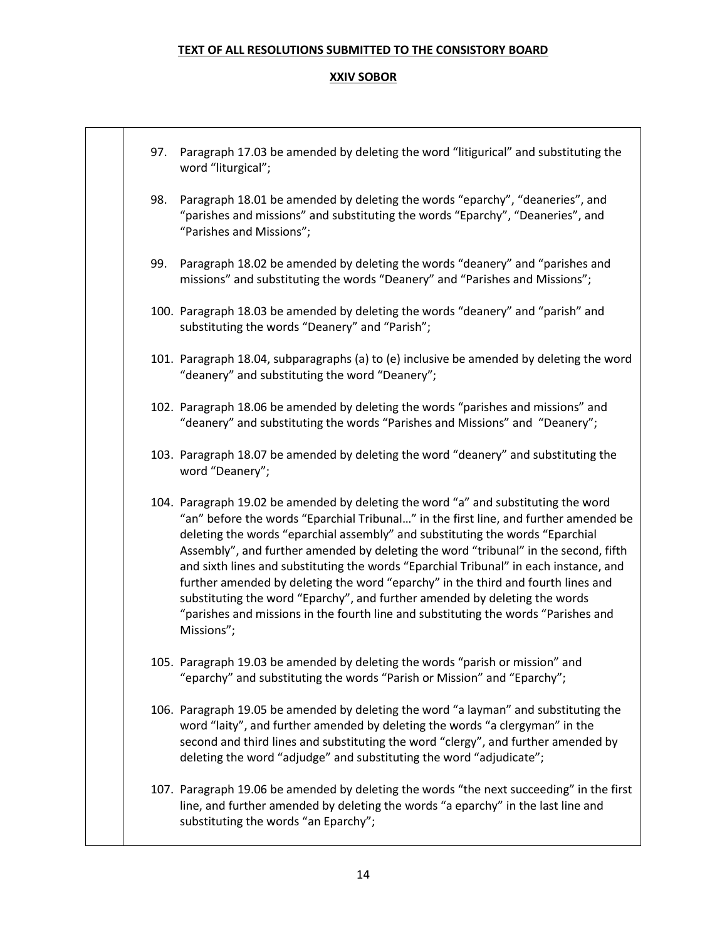| 97. | Paragraph 17.03 be amended by deleting the word "litigurical" and substituting the<br>word "liturgical";                                                                                                                                                                                                                                                                                                                                                                                                                                                                                                                                                                                                          |
|-----|-------------------------------------------------------------------------------------------------------------------------------------------------------------------------------------------------------------------------------------------------------------------------------------------------------------------------------------------------------------------------------------------------------------------------------------------------------------------------------------------------------------------------------------------------------------------------------------------------------------------------------------------------------------------------------------------------------------------|
| 98. | Paragraph 18.01 be amended by deleting the words "eparchy", "deaneries", and<br>"parishes and missions" and substituting the words "Eparchy", "Deaneries", and<br>"Parishes and Missions";                                                                                                                                                                                                                                                                                                                                                                                                                                                                                                                        |
| 99. | Paragraph 18.02 be amended by deleting the words "deanery" and "parishes and<br>missions" and substituting the words "Deanery" and "Parishes and Missions";                                                                                                                                                                                                                                                                                                                                                                                                                                                                                                                                                       |
|     | 100. Paragraph 18.03 be amended by deleting the words "deanery" and "parish" and<br>substituting the words "Deanery" and "Parish";                                                                                                                                                                                                                                                                                                                                                                                                                                                                                                                                                                                |
|     | 101. Paragraph 18.04, subparagraphs (a) to (e) inclusive be amended by deleting the word<br>"deanery" and substituting the word "Deanery";                                                                                                                                                                                                                                                                                                                                                                                                                                                                                                                                                                        |
|     | 102. Paragraph 18.06 be amended by deleting the words "parishes and missions" and<br>"deanery" and substituting the words "Parishes and Missions" and "Deanery";                                                                                                                                                                                                                                                                                                                                                                                                                                                                                                                                                  |
|     | 103. Paragraph 18.07 be amended by deleting the word "deanery" and substituting the<br>word "Deanery";                                                                                                                                                                                                                                                                                                                                                                                                                                                                                                                                                                                                            |
|     | 104. Paragraph 19.02 be amended by deleting the word "a" and substituting the word<br>"an" before the words "Eparchial Tribunal" in the first line, and further amended be<br>deleting the words "eparchial assembly" and substituting the words "Eparchial<br>Assembly", and further amended by deleting the word "tribunal" in the second, fifth<br>and sixth lines and substituting the words "Eparchial Tribunal" in each instance, and<br>further amended by deleting the word "eparchy" in the third and fourth lines and<br>substituting the word "Eparchy", and further amended by deleting the words<br>"parishes and missions in the fourth line and substituting the words "Parishes and<br>Missions"; |
|     | 105. Paragraph 19.03 be amended by deleting the words "parish or mission" and<br>"eparchy" and substituting the words "Parish or Mission" and "Eparchy";                                                                                                                                                                                                                                                                                                                                                                                                                                                                                                                                                          |
|     | 106. Paragraph 19.05 be amended by deleting the word "a layman" and substituting the<br>word "laity", and further amended by deleting the words "a clergyman" in the<br>second and third lines and substituting the word "clergy", and further amended by<br>deleting the word "adjudge" and substituting the word "adjudicate";                                                                                                                                                                                                                                                                                                                                                                                  |
|     | 107. Paragraph 19.06 be amended by deleting the words "the next succeeding" in the first<br>line, and further amended by deleting the words "a eparchy" in the last line and<br>substituting the words "an Eparchy";                                                                                                                                                                                                                                                                                                                                                                                                                                                                                              |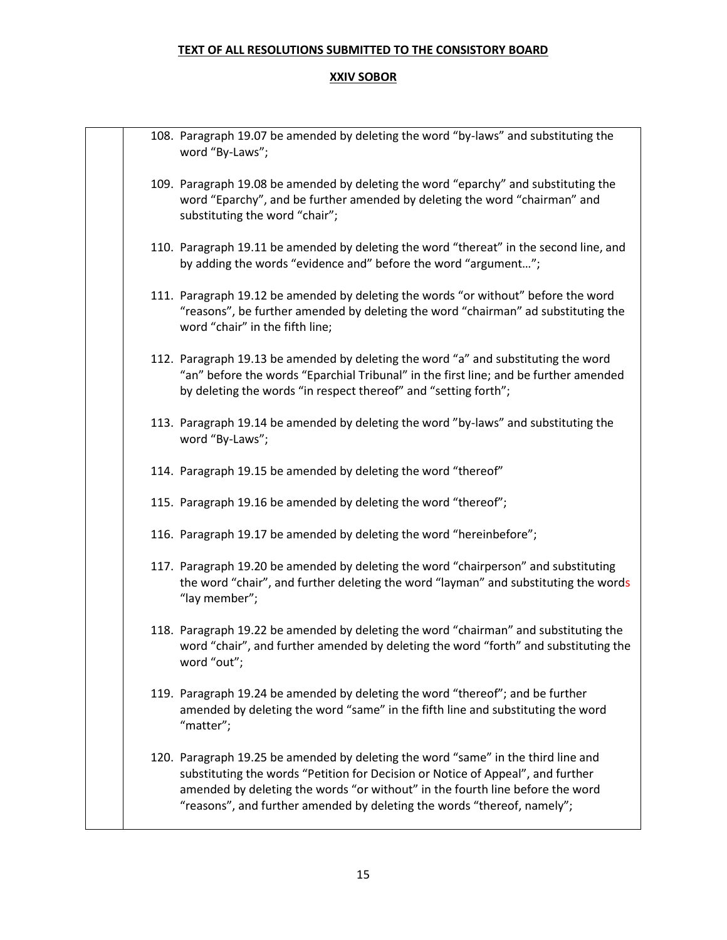|  | 108. Paragraph 19.07 be amended by deleting the word "by-laws" and substituting the<br>word "By-Laws";                                                                                                                                                                                                                           |
|--|----------------------------------------------------------------------------------------------------------------------------------------------------------------------------------------------------------------------------------------------------------------------------------------------------------------------------------|
|  | 109. Paragraph 19.08 be amended by deleting the word "eparchy" and substituting the<br>word "Eparchy", and be further amended by deleting the word "chairman" and<br>substituting the word "chair";                                                                                                                              |
|  | 110. Paragraph 19.11 be amended by deleting the word "thereat" in the second line, and<br>by adding the words "evidence and" before the word "argument";                                                                                                                                                                         |
|  | 111. Paragraph 19.12 be amended by deleting the words "or without" before the word<br>"reasons", be further amended by deleting the word "chairman" ad substituting the<br>word "chair" in the fifth line;                                                                                                                       |
|  | 112. Paragraph 19.13 be amended by deleting the word "a" and substituting the word<br>"an" before the words "Eparchial Tribunal" in the first line; and be further amended<br>by deleting the words "in respect thereof" and "setting forth";                                                                                    |
|  | 113. Paragraph 19.14 be amended by deleting the word "by-laws" and substituting the<br>word "By-Laws";                                                                                                                                                                                                                           |
|  | 114. Paragraph 19.15 be amended by deleting the word "thereof"                                                                                                                                                                                                                                                                   |
|  | 115. Paragraph 19.16 be amended by deleting the word "thereof";                                                                                                                                                                                                                                                                  |
|  | 116. Paragraph 19.17 be amended by deleting the word "hereinbefore";                                                                                                                                                                                                                                                             |
|  | 117. Paragraph 19.20 be amended by deleting the word "chairperson" and substituting<br>the word "chair", and further deleting the word "layman" and substituting the words<br>"lay member";                                                                                                                                      |
|  | 118. Paragraph 19.22 be amended by deleting the word "chairman" and substituting the<br>word "chair", and further amended by deleting the word "forth" and substituting the<br>word "out";                                                                                                                                       |
|  | 119. Paragraph 19.24 be amended by deleting the word "thereof"; and be further<br>amended by deleting the word "same" in the fifth line and substituting the word<br>"matter";                                                                                                                                                   |
|  | 120. Paragraph 19.25 be amended by deleting the word "same" in the third line and<br>substituting the words "Petition for Decision or Notice of Appeal", and further<br>amended by deleting the words "or without" in the fourth line before the word<br>"reasons", and further amended by deleting the words "thereof, namely"; |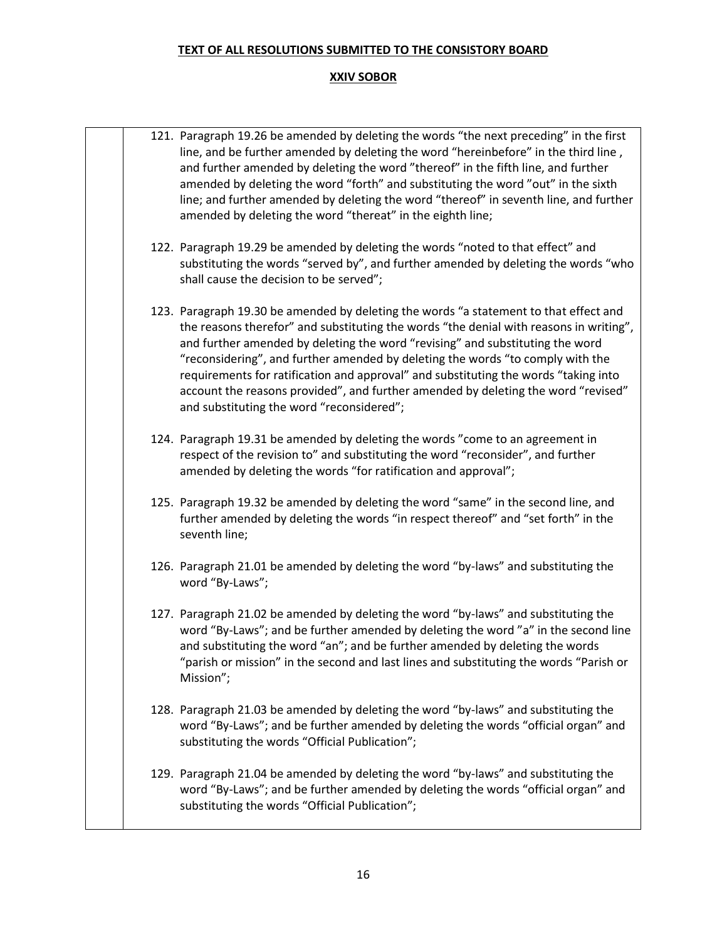|  | 121. Paragraph 19.26 be amended by deleting the words "the next preceding" in the first<br>line, and be further amended by deleting the word "hereinbefore" in the third line,<br>and further amended by deleting the word "thereof" in the fifth line, and further<br>amended by deleting the word "forth" and substituting the word "out" in the sixth<br>line; and further amended by deleting the word "thereof" in seventh line, and further<br>amended by deleting the word "thereat" in the eighth line;                                                             |
|--|-----------------------------------------------------------------------------------------------------------------------------------------------------------------------------------------------------------------------------------------------------------------------------------------------------------------------------------------------------------------------------------------------------------------------------------------------------------------------------------------------------------------------------------------------------------------------------|
|  | 122. Paragraph 19.29 be amended by deleting the words "noted to that effect" and<br>substituting the words "served by", and further amended by deleting the words "who<br>shall cause the decision to be served";                                                                                                                                                                                                                                                                                                                                                           |
|  | 123. Paragraph 19.30 be amended by deleting the words "a statement to that effect and<br>the reasons therefor" and substituting the words "the denial with reasons in writing",<br>and further amended by deleting the word "revising" and substituting the word<br>"reconsidering", and further amended by deleting the words "to comply with the<br>requirements for ratification and approval" and substituting the words "taking into<br>account the reasons provided", and further amended by deleting the word "revised"<br>and substituting the word "reconsidered"; |
|  | 124. Paragraph 19.31 be amended by deleting the words "come to an agreement in<br>respect of the revision to" and substituting the word "reconsider", and further<br>amended by deleting the words "for ratification and approval";                                                                                                                                                                                                                                                                                                                                         |
|  | 125. Paragraph 19.32 be amended by deleting the word "same" in the second line, and<br>further amended by deleting the words "in respect thereof" and "set forth" in the<br>seventh line;                                                                                                                                                                                                                                                                                                                                                                                   |
|  | 126. Paragraph 21.01 be amended by deleting the word "by-laws" and substituting the<br>word "By-Laws";                                                                                                                                                                                                                                                                                                                                                                                                                                                                      |
|  | 127. Paragraph 21.02 be amended by deleting the word "by-laws" and substituting the<br>word "By-Laws"; and be further amended by deleting the word "a" in the second line<br>and substituting the word "an"; and be further amended by deleting the words<br>"parish or mission" in the second and last lines and substituting the words "Parish or<br>Mission";                                                                                                                                                                                                            |
|  | 128. Paragraph 21.03 be amended by deleting the word "by-laws" and substituting the<br>word "By-Laws"; and be further amended by deleting the words "official organ" and<br>substituting the words "Official Publication";                                                                                                                                                                                                                                                                                                                                                  |
|  | 129. Paragraph 21.04 be amended by deleting the word "by-laws" and substituting the<br>word "By-Laws"; and be further amended by deleting the words "official organ" and<br>substituting the words "Official Publication";                                                                                                                                                                                                                                                                                                                                                  |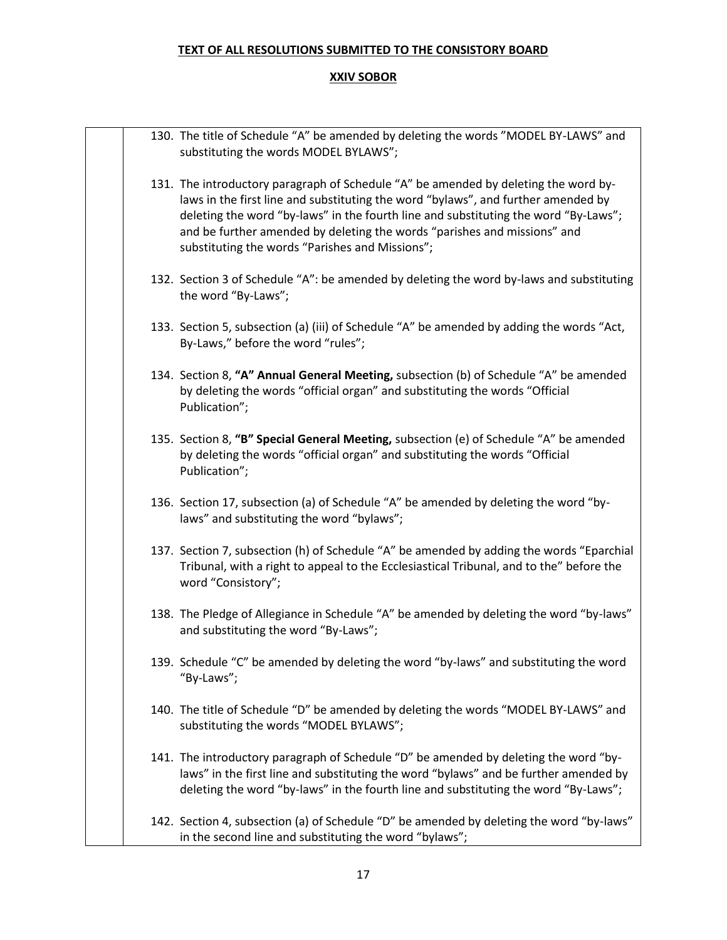|  | 130. The title of Schedule "A" be amended by deleting the words "MODEL BY-LAWS" and<br>substituting the words MODEL BYLAWS";                                                                                                                                                                                                                                                                   |
|--|------------------------------------------------------------------------------------------------------------------------------------------------------------------------------------------------------------------------------------------------------------------------------------------------------------------------------------------------------------------------------------------------|
|  | 131. The introductory paragraph of Schedule "A" be amended by deleting the word by-<br>laws in the first line and substituting the word "bylaws", and further amended by<br>deleting the word "by-laws" in the fourth line and substituting the word "By-Laws";<br>and be further amended by deleting the words "parishes and missions" and<br>substituting the words "Parishes and Missions"; |
|  | 132. Section 3 of Schedule "A": be amended by deleting the word by-laws and substituting<br>the word "By-Laws";                                                                                                                                                                                                                                                                                |
|  | 133. Section 5, subsection (a) (iii) of Schedule "A" be amended by adding the words "Act,<br>By-Laws," before the word "rules";                                                                                                                                                                                                                                                                |
|  | 134. Section 8, "A" Annual General Meeting, subsection (b) of Schedule "A" be amended<br>by deleting the words "official organ" and substituting the words "Official<br>Publication";                                                                                                                                                                                                          |
|  | 135. Section 8, "B" Special General Meeting, subsection (e) of Schedule "A" be amended<br>by deleting the words "official organ" and substituting the words "Official<br>Publication";                                                                                                                                                                                                         |
|  | 136. Section 17, subsection (a) of Schedule "A" be amended by deleting the word "by-<br>laws" and substituting the word "bylaws";                                                                                                                                                                                                                                                              |
|  | 137. Section 7, subsection (h) of Schedule "A" be amended by adding the words "Eparchial<br>Tribunal, with a right to appeal to the Ecclesiastical Tribunal, and to the" before the<br>word "Consistory";                                                                                                                                                                                      |
|  | 138. The Pledge of Allegiance in Schedule "A" be amended by deleting the word "by-laws"<br>and substituting the word "By-Laws";                                                                                                                                                                                                                                                                |
|  | 139. Schedule "C" be amended by deleting the word "by-laws" and substituting the word<br>"By-Laws";                                                                                                                                                                                                                                                                                            |
|  | 140. The title of Schedule "D" be amended by deleting the words "MODEL BY-LAWS" and<br>substituting the words "MODEL BYLAWS";                                                                                                                                                                                                                                                                  |
|  | 141. The introductory paragraph of Schedule "D" be amended by deleting the word "by-<br>laws" in the first line and substituting the word "bylaws" and be further amended by<br>deleting the word "by-laws" in the fourth line and substituting the word "By-Laws";                                                                                                                            |
|  | 142. Section 4, subsection (a) of Schedule "D" be amended by deleting the word "by-laws"<br>in the second line and substituting the word "bylaws";                                                                                                                                                                                                                                             |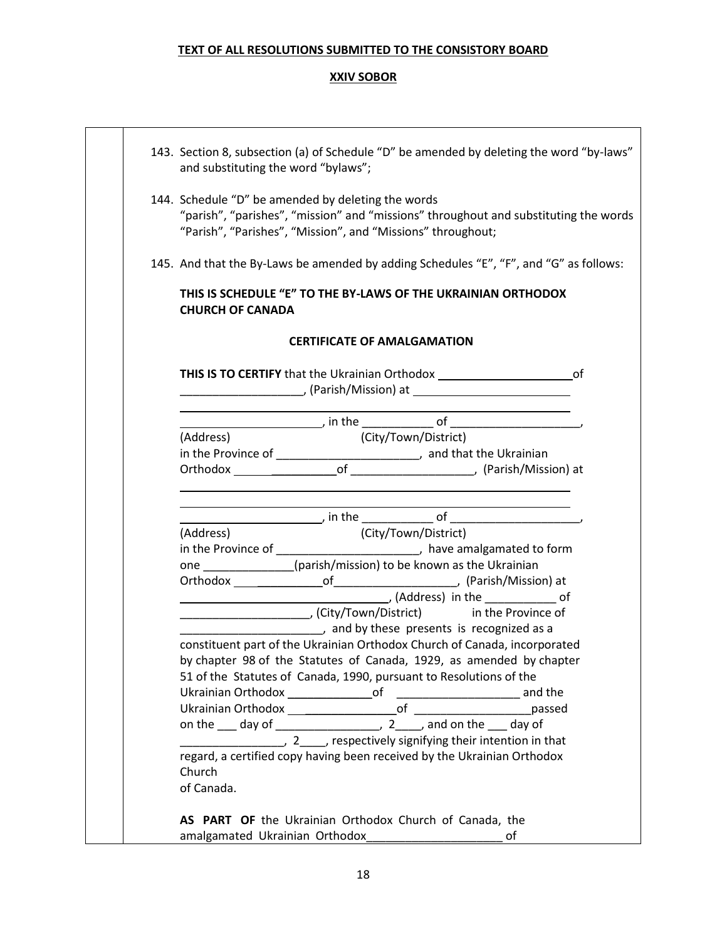| 143. Section 8, subsection (a) of Schedule "D" be amended by deleting the word "by-laws"<br>and substituting the word "bylaws";                                                                           |
|-----------------------------------------------------------------------------------------------------------------------------------------------------------------------------------------------------------|
| 144. Schedule "D" be amended by deleting the words<br>"parish", "parishes", "mission" and "missions" throughout and substituting the words<br>"Parish", "Parishes", "Mission", and "Missions" throughout; |
| 145. And that the By-Laws be amended by adding Schedules "E", "F", and "G" as follows:                                                                                                                    |
| THIS IS SCHEDULE "E" TO THE BY-LAWS OF THE UKRAINIAN ORTHODOX<br><b>CHURCH OF CANADA</b>                                                                                                                  |
| <b>CERTIFICATE OF AMALGAMATION</b>                                                                                                                                                                        |
|                                                                                                                                                                                                           |
|                                                                                                                                                                                                           |
| $\frac{1}{(Address)}$ in the $\frac{1}{(City/T_{OMM}/Init\_right)}$                                                                                                                                       |
|                                                                                                                                                                                                           |
| in the Province of _________________________, and that the Ukrainian                                                                                                                                      |
|                                                                                                                                                                                                           |
| <u> 1989 - Johann Stein, mars an deus an deus Angels an deus Angels an deus Angels an deus Angels an deus Angels</u>                                                                                      |
| (City/Town/District)<br>(Address)                                                                                                                                                                         |
| in the Province of __________________________, have amalgamated to form                                                                                                                                   |
| one ____________(parish/mission) to be known as the Ukrainian                                                                                                                                             |
|                                                                                                                                                                                                           |
|                                                                                                                                                                                                           |
|                                                                                                                                                                                                           |
| and by these presents is recognized as a                                                                                                                                                                  |
| constituent part of the Ukrainian Orthodox Church of Canada, incorporated                                                                                                                                 |
| by chapter 98 of the Statutes of Canada, 1929, as amended by chapter                                                                                                                                      |
| 51 of the Statutes of Canada, 1990, pursuant to Resolutions of the                                                                                                                                        |
|                                                                                                                                                                                                           |
|                                                                                                                                                                                                           |
|                                                                                                                                                                                                           |
|                                                                                                                                                                                                           |
| regard, a certified copy having been received by the Ukrainian Orthodox                                                                                                                                   |
| Church                                                                                                                                                                                                    |
| of Canada.                                                                                                                                                                                                |
|                                                                                                                                                                                                           |
| AS PART OF the Ukrainian Orthodox Church of Canada, the                                                                                                                                                   |
|                                                                                                                                                                                                           |
| οf                                                                                                                                                                                                        |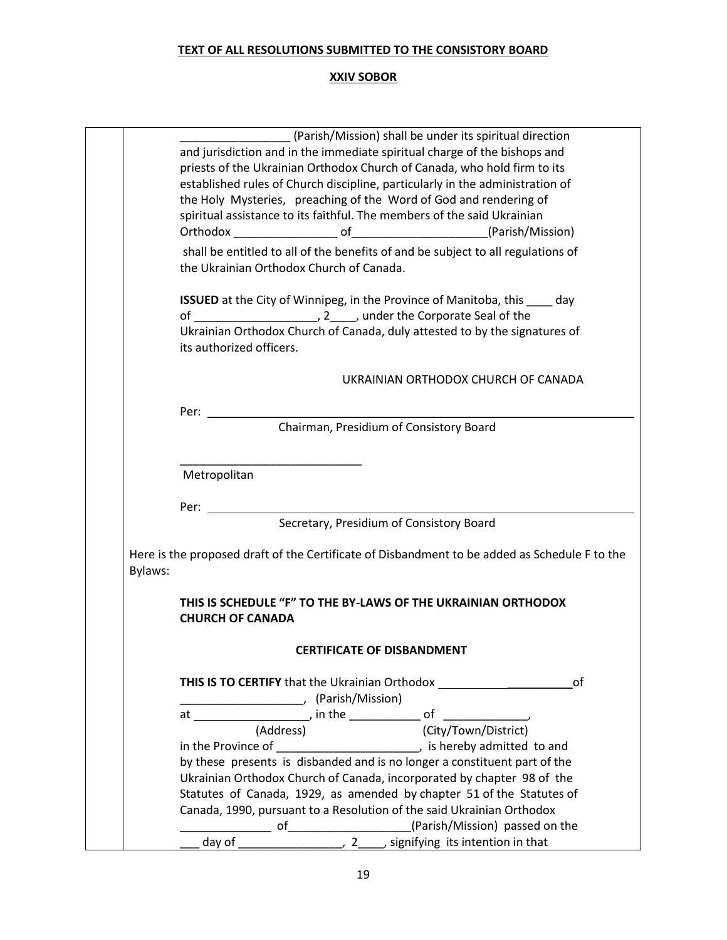|         | (Parish/Mission) shall be under its spiritual direction                                          |
|---------|--------------------------------------------------------------------------------------------------|
|         | and jurisdiction and in the immediate spiritual charge of the bishops and                        |
|         | priests of the Ukrainian Orthodox Church of Canada, who hold firm to its                         |
|         |                                                                                                  |
|         | established rules of Church discipline, particularly in the administration of                    |
|         | the Holy Mysteries, preaching of the Word of God and rendering of                                |
|         | spiritual assistance to its faithful. The members of the said Ukrainian                          |
|         |                                                                                                  |
|         | shall be entitled to all of the benefits of and be subject to all regulations of                 |
|         | the Ukrainian Orthodox Church of Canada.                                                         |
|         |                                                                                                  |
|         | <b>ISSUED</b> at the City of Winnipeg, in the Province of Manitoba, this _____ day               |
|         |                                                                                                  |
|         | Ukrainian Orthodox Church of Canada, duly attested to by the signatures of                       |
|         | its authorized officers.                                                                         |
|         |                                                                                                  |
|         | UKRAINIAN ORTHODOX CHURCH OF CANADA                                                              |
|         |                                                                                                  |
|         | Per:                                                                                             |
|         | Chairman, Presidium of Consistory Board                                                          |
|         |                                                                                                  |
|         | Metropolitan                                                                                     |
|         |                                                                                                  |
|         | Per:                                                                                             |
|         | Secretary, Presidium of Consistory Board                                                         |
|         |                                                                                                  |
|         | Here is the proposed draft of the Certificate of Disbandment to be added as Schedule F to the    |
| Bylaws: |                                                                                                  |
|         |                                                                                                  |
|         | THIS IS SCHEDULE "F" TO THE BY-LAWS OF THE UKRAINIAN ORTHODOX                                    |
|         | <b>CHURCH OF CANADA</b>                                                                          |
|         | <b>CERTIFICATE OF DISBANDMENT</b>                                                                |
|         |                                                                                                  |
|         |                                                                                                  |
|         |                                                                                                  |
|         |                                                                                                  |
|         |                                                                                                  |
|         |                                                                                                  |
|         |                                                                                                  |
|         | by these presents is disbanded and is no longer a constituent part of the                        |
|         | Ukrainian Orthodox Church of Canada, incorporated by chapter 98 of the                           |
|         | Statutes of Canada, 1929, as amended by chapter 51 of the Statutes of                            |
|         | Canada, 1990, pursuant to a Resolution of the said Ukrainian Orthodox                            |
|         |                                                                                                  |
|         |                                                                                                  |
|         | of $\frac{1}{\text{day of}}$ of $\frac{1}{2}$ , $\frac{2}{3}$ , signifying its intention in that |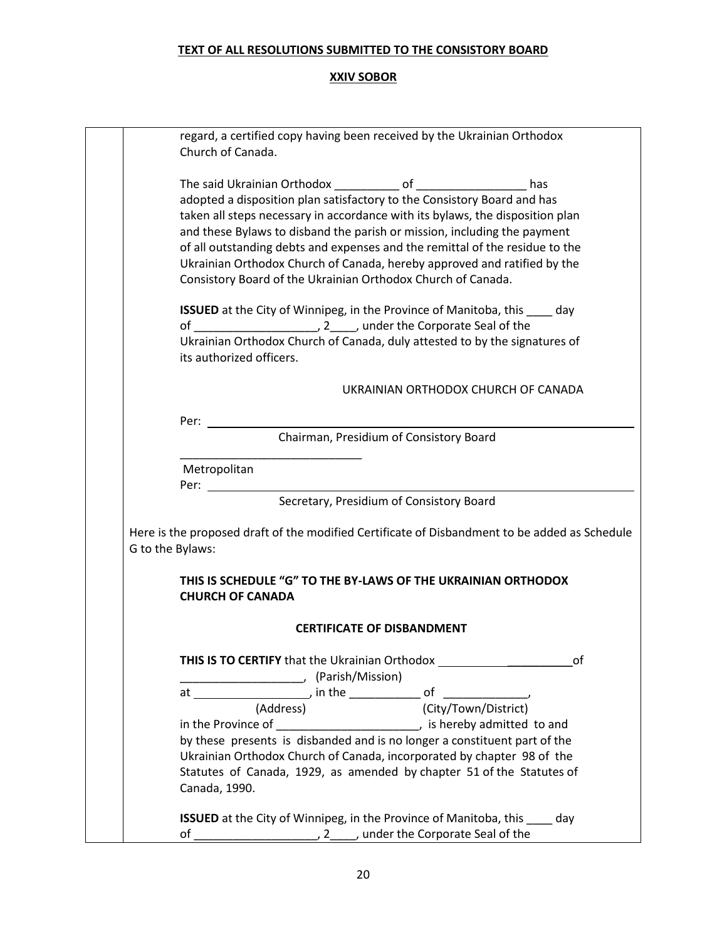| regard, a certified copy having been received by the Ukrainian Orthodox                                           |
|-------------------------------------------------------------------------------------------------------------------|
| Church of Canada.                                                                                                 |
|                                                                                                                   |
|                                                                                                                   |
| adopted a disposition plan satisfactory to the Consistory Board and has                                           |
| taken all steps necessary in accordance with its bylaws, the disposition plan                                     |
| and these Bylaws to disband the parish or mission, including the payment                                          |
| of all outstanding debts and expenses and the remittal of the residue to the                                      |
| Ukrainian Orthodox Church of Canada, hereby approved and ratified by the                                          |
| Consistory Board of the Ukrainian Orthodox Church of Canada.                                                      |
| <b>ISSUED</b> at the City of Winnipeg, in the Province of Manitoba, this ____ day                                 |
|                                                                                                                   |
| Ukrainian Orthodox Church of Canada, duly attested to by the signatures of                                        |
| its authorized officers.                                                                                          |
| UKRAINIAN ORTHODOX CHURCH OF CANADA                                                                               |
|                                                                                                                   |
| Per: $\qquad \qquad$<br>Chairman, Presidium of Consistory Board                                                   |
|                                                                                                                   |
| Metropolitan                                                                                                      |
|                                                                                                                   |
| Secretary, Presidium of Consistory Board                                                                          |
|                                                                                                                   |
| Here is the proposed draft of the modified Certificate of Disbandment to be added as Schedule<br>G to the Bylaws: |
|                                                                                                                   |
| THIS IS SCHEDULE "G" TO THE BY-LAWS OF THE UKRAINIAN ORTHODOX                                                     |
| <b>CHURCH OF CANADA</b>                                                                                           |
| <b>CERTIFICATE OF DISBANDMENT</b>                                                                                 |
| <b>THIS IS TO CERTIFY</b> that the Ukrainian Orthodox<br>0f                                                       |
| (Parish/Mission)                                                                                                  |
|                                                                                                                   |
|                                                                                                                   |
|                                                                                                                   |
| by these presents is disbanded and is no longer a constituent part of the                                         |
| Ukrainian Orthodox Church of Canada, incorporated by chapter 98 of the                                            |
| Statutes of Canada, 1929, as amended by chapter 51 of the Statutes of                                             |
| Canada, 1990.                                                                                                     |
| <b>ISSUED</b> at the City of Winnipeg, in the Province of Manitoba, this ____ day                                 |
| of                                                                                                                |
|                                                                                                                   |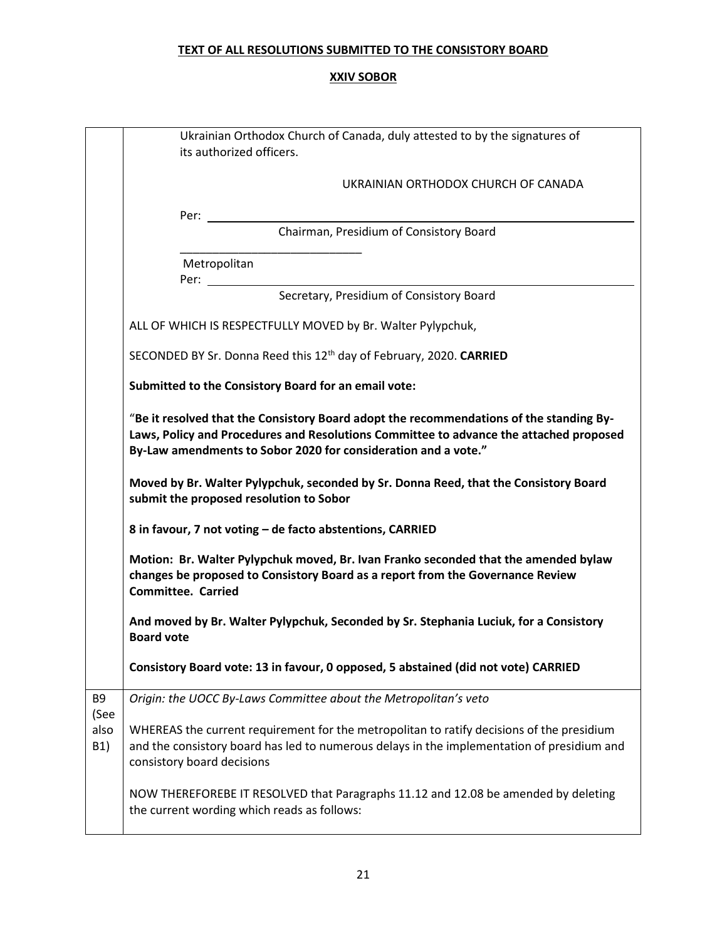|                     | Ukrainian Orthodox Church of Canada, duly attested to by the signatures of<br>its authorized officers.                                                                                                                                              |  |  |
|---------------------|-----------------------------------------------------------------------------------------------------------------------------------------------------------------------------------------------------------------------------------------------------|--|--|
|                     | UKRAINIAN ORTHODOX CHURCH OF CANADA                                                                                                                                                                                                                 |  |  |
|                     | Per:                                                                                                                                                                                                                                                |  |  |
|                     | Chairman, Presidium of Consistory Board                                                                                                                                                                                                             |  |  |
|                     | Metropolitan<br>Per:                                                                                                                                                                                                                                |  |  |
|                     | Secretary, Presidium of Consistory Board                                                                                                                                                                                                            |  |  |
|                     | ALL OF WHICH IS RESPECTFULLY MOVED by Br. Walter Pylypchuk,                                                                                                                                                                                         |  |  |
|                     | SECONDED BY Sr. Donna Reed this 12 <sup>th</sup> day of February, 2020. CARRIED                                                                                                                                                                     |  |  |
|                     | Submitted to the Consistory Board for an email vote:                                                                                                                                                                                                |  |  |
|                     | "Be it resolved that the Consistory Board adopt the recommendations of the standing By-<br>Laws, Policy and Procedures and Resolutions Committee to advance the attached proposed<br>By-Law amendments to Sobor 2020 for consideration and a vote." |  |  |
|                     | Moved by Br. Walter Pylypchuk, seconded by Sr. Donna Reed, that the Consistory Board<br>submit the proposed resolution to Sobor                                                                                                                     |  |  |
|                     | 8 in favour, 7 not voting - de facto abstentions, CARRIED                                                                                                                                                                                           |  |  |
|                     | Motion: Br. Walter Pylypchuk moved, Br. Ivan Franko seconded that the amended bylaw<br>changes be proposed to Consistory Board as a report from the Governance Review<br><b>Committee. Carried</b>                                                  |  |  |
|                     | And moved by Br. Walter Pylypchuk, Seconded by Sr. Stephania Luciuk, for a Consistory<br><b>Board vote</b>                                                                                                                                          |  |  |
|                     | Consistory Board vote: 13 in favour, 0 opposed, 5 abstained (did not vote) CARRIED                                                                                                                                                                  |  |  |
| B9                  | Origin: the UOCC By-Laws Committee about the Metropolitan's veto                                                                                                                                                                                    |  |  |
| (See<br>also<br>B1) | WHEREAS the current requirement for the metropolitan to ratify decisions of the presidium<br>and the consistory board has led to numerous delays in the implementation of presidium and<br>consistory board decisions                               |  |  |
|                     | NOW THEREFOREBE IT RESOLVED that Paragraphs 11.12 and 12.08 be amended by deleting<br>the current wording which reads as follows:                                                                                                                   |  |  |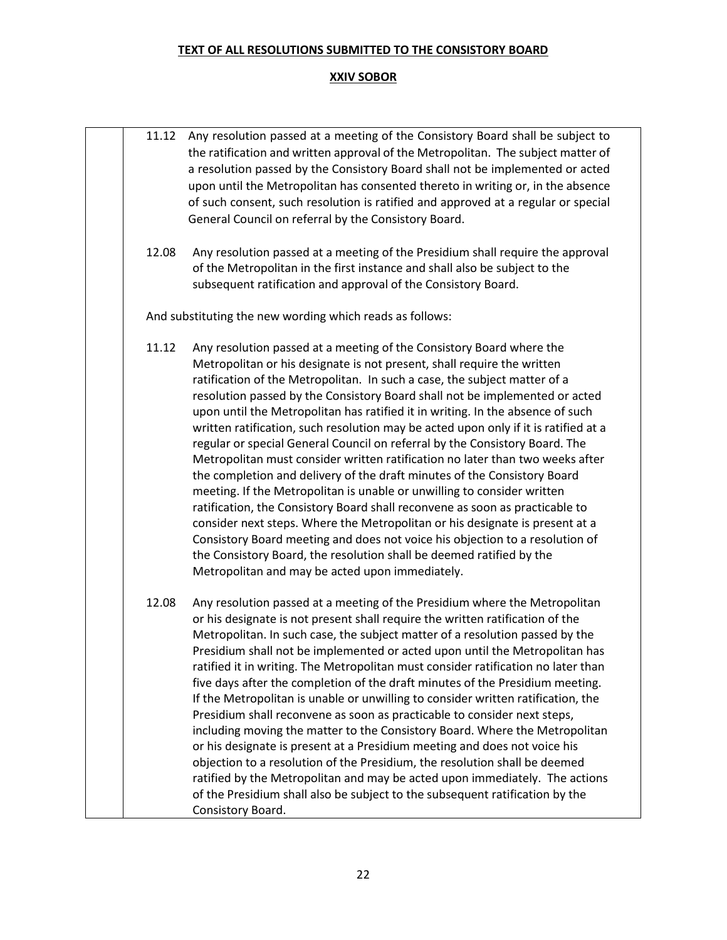| 11.12 | Any resolution passed at a meeting of the Consistory Board shall be subject to<br>the ratification and written approval of the Metropolitan. The subject matter of<br>a resolution passed by the Consistory Board shall not be implemented or acted<br>upon until the Metropolitan has consented thereto in writing or, in the absence<br>of such consent, such resolution is ratified and approved at a regular or special<br>General Council on referral by the Consistory Board.                                                                                                                                                                                                                                                                                                                                                                                                                                                                                                                                                                                                                                                                                                    |
|-------|----------------------------------------------------------------------------------------------------------------------------------------------------------------------------------------------------------------------------------------------------------------------------------------------------------------------------------------------------------------------------------------------------------------------------------------------------------------------------------------------------------------------------------------------------------------------------------------------------------------------------------------------------------------------------------------------------------------------------------------------------------------------------------------------------------------------------------------------------------------------------------------------------------------------------------------------------------------------------------------------------------------------------------------------------------------------------------------------------------------------------------------------------------------------------------------|
| 12.08 | Any resolution passed at a meeting of the Presidium shall require the approval<br>of the Metropolitan in the first instance and shall also be subject to the<br>subsequent ratification and approval of the Consistory Board.                                                                                                                                                                                                                                                                                                                                                                                                                                                                                                                                                                                                                                                                                                                                                                                                                                                                                                                                                          |
|       | And substituting the new wording which reads as follows:                                                                                                                                                                                                                                                                                                                                                                                                                                                                                                                                                                                                                                                                                                                                                                                                                                                                                                                                                                                                                                                                                                                               |
| 11.12 | Any resolution passed at a meeting of the Consistory Board where the<br>Metropolitan or his designate is not present, shall require the written<br>ratification of the Metropolitan. In such a case, the subject matter of a<br>resolution passed by the Consistory Board shall not be implemented or acted<br>upon until the Metropolitan has ratified it in writing. In the absence of such<br>written ratification, such resolution may be acted upon only if it is ratified at a<br>regular or special General Council on referral by the Consistory Board. The<br>Metropolitan must consider written ratification no later than two weeks after<br>the completion and delivery of the draft minutes of the Consistory Board<br>meeting. If the Metropolitan is unable or unwilling to consider written<br>ratification, the Consistory Board shall reconvene as soon as practicable to<br>consider next steps. Where the Metropolitan or his designate is present at a<br>Consistory Board meeting and does not voice his objection to a resolution of<br>the Consistory Board, the resolution shall be deemed ratified by the<br>Metropolitan and may be acted upon immediately. |
| 12.08 | Any resolution passed at a meeting of the Presidium where the Metropolitan<br>or his designate is not present shall require the written ratification of the<br>Metropolitan. In such case, the subject matter of a resolution passed by the<br>Presidium shall not be implemented or acted upon until the Metropolitan has<br>ratified it in writing. The Metropolitan must consider ratification no later than<br>five days after the completion of the draft minutes of the Presidium meeting.<br>If the Metropolitan is unable or unwilling to consider written ratification, the<br>Presidium shall reconvene as soon as practicable to consider next steps,<br>including moving the matter to the Consistory Board. Where the Metropolitan<br>or his designate is present at a Presidium meeting and does not voice his<br>objection to a resolution of the Presidium, the resolution shall be deemed<br>ratified by the Metropolitan and may be acted upon immediately. The actions<br>of the Presidium shall also be subject to the subsequent ratification by the<br>Consistory Board.                                                                                         |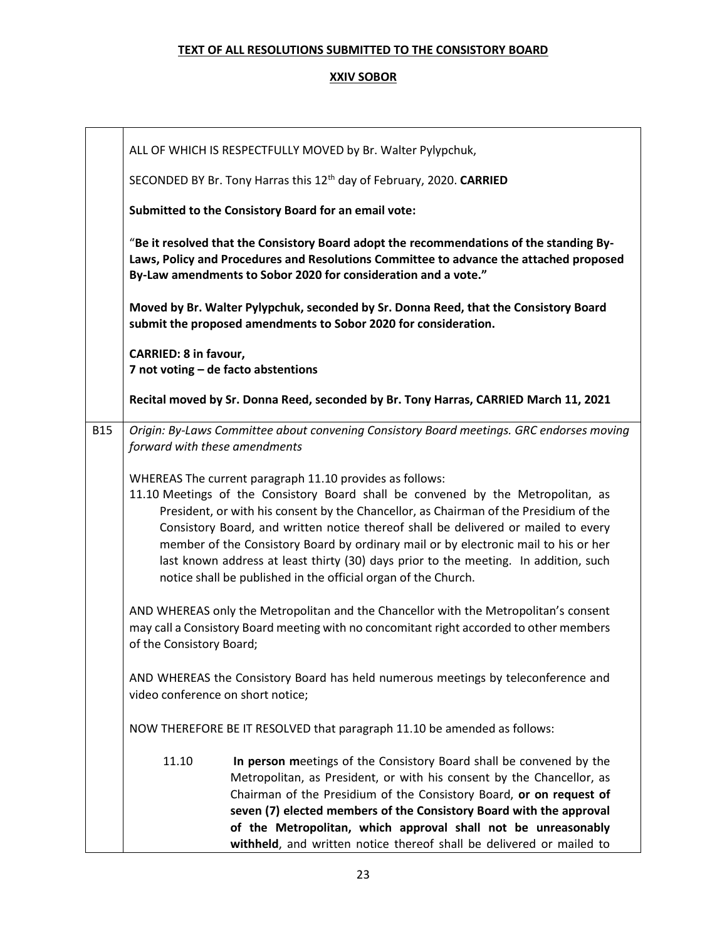|                                                                                                                        | ALL OF WHICH IS RESPECTFULLY MOVED by Br. Walter Pylypchuk,                                                                                                                                                                                                                                                                                                                                                                                                                                                                                                                                                                                                                                                                                                                                 |                                                                                                                                                                                                                                                                                                                                                                                                                                     |  |
|------------------------------------------------------------------------------------------------------------------------|---------------------------------------------------------------------------------------------------------------------------------------------------------------------------------------------------------------------------------------------------------------------------------------------------------------------------------------------------------------------------------------------------------------------------------------------------------------------------------------------------------------------------------------------------------------------------------------------------------------------------------------------------------------------------------------------------------------------------------------------------------------------------------------------|-------------------------------------------------------------------------------------------------------------------------------------------------------------------------------------------------------------------------------------------------------------------------------------------------------------------------------------------------------------------------------------------------------------------------------------|--|
|                                                                                                                        | SECONDED BY Br. Tony Harras this 12 <sup>th</sup> day of February, 2020. CARRIED                                                                                                                                                                                                                                                                                                                                                                                                                                                                                                                                                                                                                                                                                                            |                                                                                                                                                                                                                                                                                                                                                                                                                                     |  |
|                                                                                                                        | Submitted to the Consistory Board for an email vote:                                                                                                                                                                                                                                                                                                                                                                                                                                                                                                                                                                                                                                                                                                                                        |                                                                                                                                                                                                                                                                                                                                                                                                                                     |  |
|                                                                                                                        | "Be it resolved that the Consistory Board adopt the recommendations of the standing By-<br>Laws, Policy and Procedures and Resolutions Committee to advance the attached proposed<br>By-Law amendments to Sobor 2020 for consideration and a vote."                                                                                                                                                                                                                                                                                                                                                                                                                                                                                                                                         |                                                                                                                                                                                                                                                                                                                                                                                                                                     |  |
|                                                                                                                        |                                                                                                                                                                                                                                                                                                                                                                                                                                                                                                                                                                                                                                                                                                                                                                                             | Moved by Br. Walter Pylypchuk, seconded by Sr. Donna Reed, that the Consistory Board<br>submit the proposed amendments to Sobor 2020 for consideration.                                                                                                                                                                                                                                                                             |  |
|                                                                                                                        | <b>CARRIED: 8 in favour,</b>                                                                                                                                                                                                                                                                                                                                                                                                                                                                                                                                                                                                                                                                                                                                                                | 7 not voting - de facto abstentions                                                                                                                                                                                                                                                                                                                                                                                                 |  |
|                                                                                                                        |                                                                                                                                                                                                                                                                                                                                                                                                                                                                                                                                                                                                                                                                                                                                                                                             | Recital moved by Sr. Donna Reed, seconded by Br. Tony Harras, CARRIED March 11, 2021                                                                                                                                                                                                                                                                                                                                                |  |
| <b>B15</b>                                                                                                             | forward with these amendments                                                                                                                                                                                                                                                                                                                                                                                                                                                                                                                                                                                                                                                                                                                                                               | Origin: By-Laws Committee about convening Consistory Board meetings. GRC endorses moving                                                                                                                                                                                                                                                                                                                                            |  |
|                                                                                                                        | WHEREAS The current paragraph 11.10 provides as follows:<br>11.10 Meetings of the Consistory Board shall be convened by the Metropolitan, as<br>President, or with his consent by the Chancellor, as Chairman of the Presidium of the<br>Consistory Board, and written notice thereof shall be delivered or mailed to every<br>member of the Consistory Board by ordinary mail or by electronic mail to his or her<br>last known address at least thirty (30) days prior to the meeting. In addition, such<br>notice shall be published in the official organ of the Church.<br>AND WHEREAS only the Metropolitan and the Chancellor with the Metropolitan's consent<br>may call a Consistory Board meeting with no concomitant right accorded to other members<br>of the Consistory Board; |                                                                                                                                                                                                                                                                                                                                                                                                                                     |  |
|                                                                                                                        |                                                                                                                                                                                                                                                                                                                                                                                                                                                                                                                                                                                                                                                                                                                                                                                             |                                                                                                                                                                                                                                                                                                                                                                                                                                     |  |
| AND WHEREAS the Consistory Board has held numerous meetings by teleconference and<br>video conference on short notice; |                                                                                                                                                                                                                                                                                                                                                                                                                                                                                                                                                                                                                                                                                                                                                                                             |                                                                                                                                                                                                                                                                                                                                                                                                                                     |  |
|                                                                                                                        |                                                                                                                                                                                                                                                                                                                                                                                                                                                                                                                                                                                                                                                                                                                                                                                             | NOW THEREFORE BE IT RESOLVED that paragraph 11.10 be amended as follows:                                                                                                                                                                                                                                                                                                                                                            |  |
|                                                                                                                        | 11.10                                                                                                                                                                                                                                                                                                                                                                                                                                                                                                                                                                                                                                                                                                                                                                                       | In person meetings of the Consistory Board shall be convened by the<br>Metropolitan, as President, or with his consent by the Chancellor, as<br>Chairman of the Presidium of the Consistory Board, or on request of<br>seven (7) elected members of the Consistory Board with the approval<br>of the Metropolitan, which approval shall not be unreasonably<br>withheld, and written notice thereof shall be delivered or mailed to |  |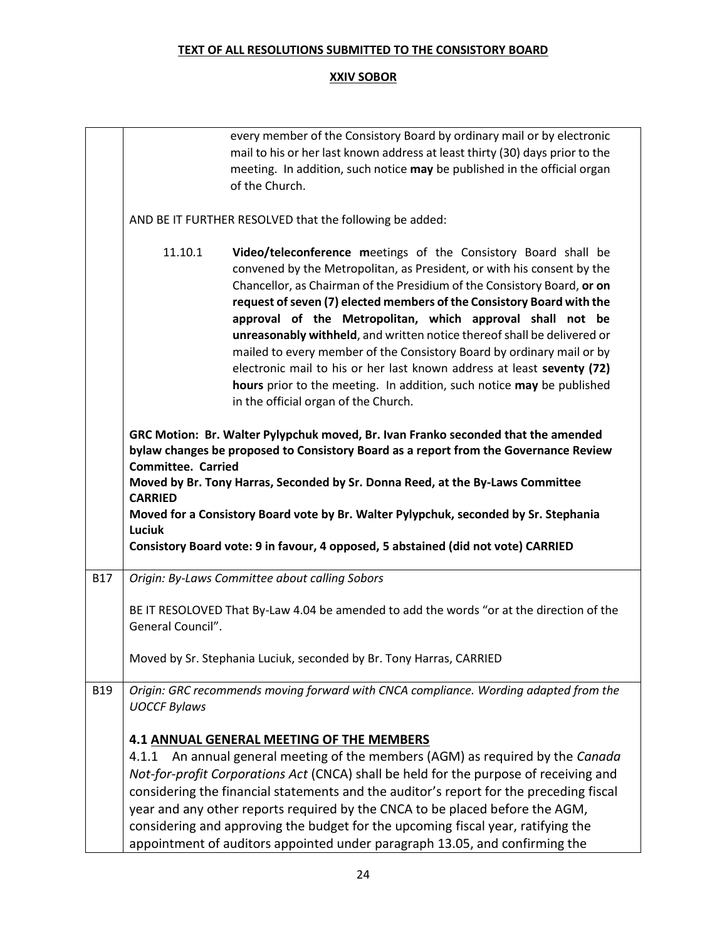|            |                                                       | every member of the Consistory Board by ordinary mail or by electronic<br>mail to his or her last known address at least thirty (30) days prior to the<br>meeting. In addition, such notice may be published in the official organ<br>of the Church.                                                                                                                                                                                                                                                                                                                                                                                                                                                     |
|------------|-------------------------------------------------------|----------------------------------------------------------------------------------------------------------------------------------------------------------------------------------------------------------------------------------------------------------------------------------------------------------------------------------------------------------------------------------------------------------------------------------------------------------------------------------------------------------------------------------------------------------------------------------------------------------------------------------------------------------------------------------------------------------|
|            |                                                       | AND BE IT FURTHER RESOLVED that the following be added:                                                                                                                                                                                                                                                                                                                                                                                                                                                                                                                                                                                                                                                  |
|            | 11.10.1                                               | Video/teleconference meetings of the Consistory Board shall be<br>convened by the Metropolitan, as President, or with his consent by the<br>Chancellor, as Chairman of the Presidium of the Consistory Board, or on<br>request of seven (7) elected members of the Consistory Board with the<br>approval of the Metropolitan, which approval shall not be<br>unreasonably withheld, and written notice thereof shall be delivered or<br>mailed to every member of the Consistory Board by ordinary mail or by<br>electronic mail to his or her last known address at least seventy (72)<br>hours prior to the meeting. In addition, such notice may be published<br>in the official organ of the Church. |
|            | <b>Committee. Carried</b><br><b>CARRIED</b><br>Luciuk | GRC Motion: Br. Walter Pylypchuk moved, Br. Ivan Franko seconded that the amended<br>bylaw changes be proposed to Consistory Board as a report from the Governance Review<br>Moved by Br. Tony Harras, Seconded by Sr. Donna Reed, at the By-Laws Committee<br>Moved for a Consistory Board vote by Br. Walter Pylypchuk, seconded by Sr. Stephania<br>Consistory Board vote: 9 in favour, 4 opposed, 5 abstained (did not vote) CARRIED                                                                                                                                                                                                                                                                 |
| <b>B17</b> |                                                       | Origin: By-Laws Committee about calling Sobors                                                                                                                                                                                                                                                                                                                                                                                                                                                                                                                                                                                                                                                           |
|            | General Council".                                     | BE IT RESOLOVED That By-Law 4.04 be amended to add the words "or at the direction of the                                                                                                                                                                                                                                                                                                                                                                                                                                                                                                                                                                                                                 |
|            |                                                       | Moved by Sr. Stephania Luciuk, seconded by Br. Tony Harras, CARRIED                                                                                                                                                                                                                                                                                                                                                                                                                                                                                                                                                                                                                                      |
| <b>B19</b> | <b>UOCCF Bylaws</b>                                   | Origin: GRC recommends moving forward with CNCA compliance. Wording adapted from the                                                                                                                                                                                                                                                                                                                                                                                                                                                                                                                                                                                                                     |
|            |                                                       | 4.1 ANNUAL GENERAL MEETING OF THE MEMBERS<br>4.1.1 An annual general meeting of the members (AGM) as required by the Canada<br>Not-for-profit Corporations Act (CNCA) shall be held for the purpose of receiving and<br>considering the financial statements and the auditor's report for the preceding fiscal<br>year and any other reports required by the CNCA to be placed before the AGM,<br>considering and approving the budget for the upcoming fiscal year, ratifying the<br>appointment of auditors appointed under paragraph 13.05, and confirming the                                                                                                                                        |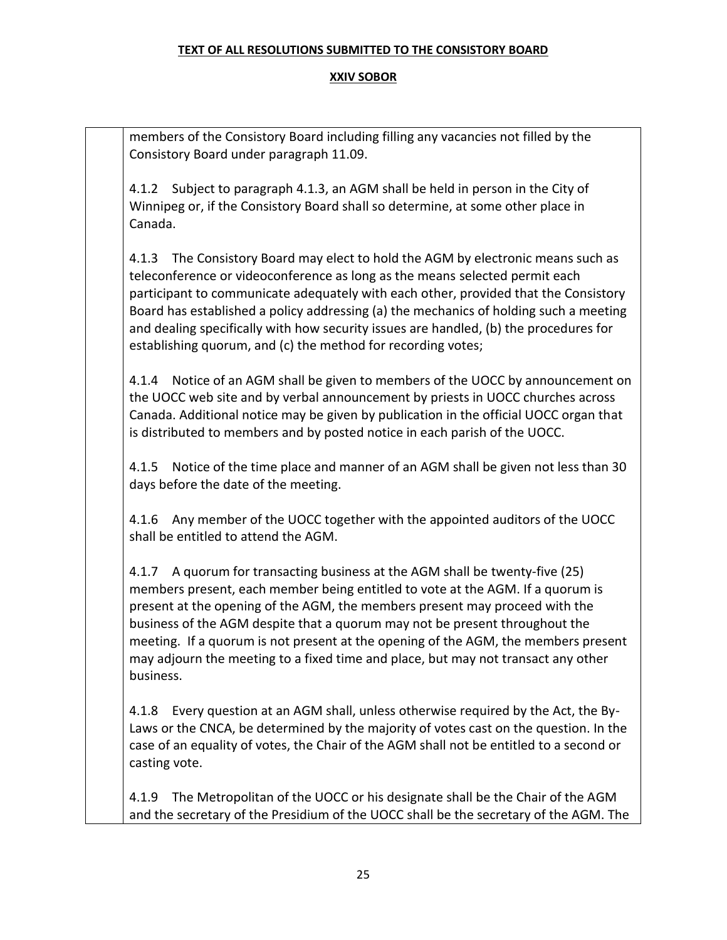#### **XXIV SOBOR**

members of the Consistory Board including filling any vacancies not filled by the Consistory Board under paragraph 11.09.

4.1.2 Subject to paragraph 4.1.3, an AGM shall be held in person in the City of Winnipeg or, if the Consistory Board shall so determine, at some other place in Canada.

4.1.3 The Consistory Board may elect to hold the AGM by electronic means such as teleconference or videoconference as long as the means selected permit each participant to communicate adequately with each other, provided that the Consistory Board has established a policy addressing (a) the mechanics of holding such a meeting and dealing specifically with how security issues are handled, (b) the procedures for establishing quorum, and (c) the method for recording votes;

4.1.4 Notice of an AGM shall be given to members of the UOCC by announcement on the UOCC web site and by verbal announcement by priests in UOCC churches across Canada. Additional notice may be given by publication in the official UOCC organ that is distributed to members and by posted notice in each parish of the UOCC.

4.1.5 Notice of the time place and manner of an AGM shall be given not less than 30 days before the date of the meeting.

4.1.6 Any member of the UOCC together with the appointed auditors of the UOCC shall be entitled to attend the AGM.

4.1.7 A quorum for transacting business at the AGM shall be twenty-five (25) members present, each member being entitled to vote at the AGM. If a quorum is present at the opening of the AGM, the members present may proceed with the business of the AGM despite that a quorum may not be present throughout the meeting. If a quorum is not present at the opening of the AGM, the members present may adjourn the meeting to a fixed time and place, but may not transact any other business.

4.1.8 Every question at an AGM shall, unless otherwise required by the Act, the By-Laws or the CNCA, be determined by the majority of votes cast on the question. In the case of an equality of votes, the Chair of the AGM shall not be entitled to a second or casting vote.

4.1.9 The Metropolitan of the UOCC or his designate shall be the Chair of the AGM and the secretary of the Presidium of the UOCC shall be the secretary of the AGM. The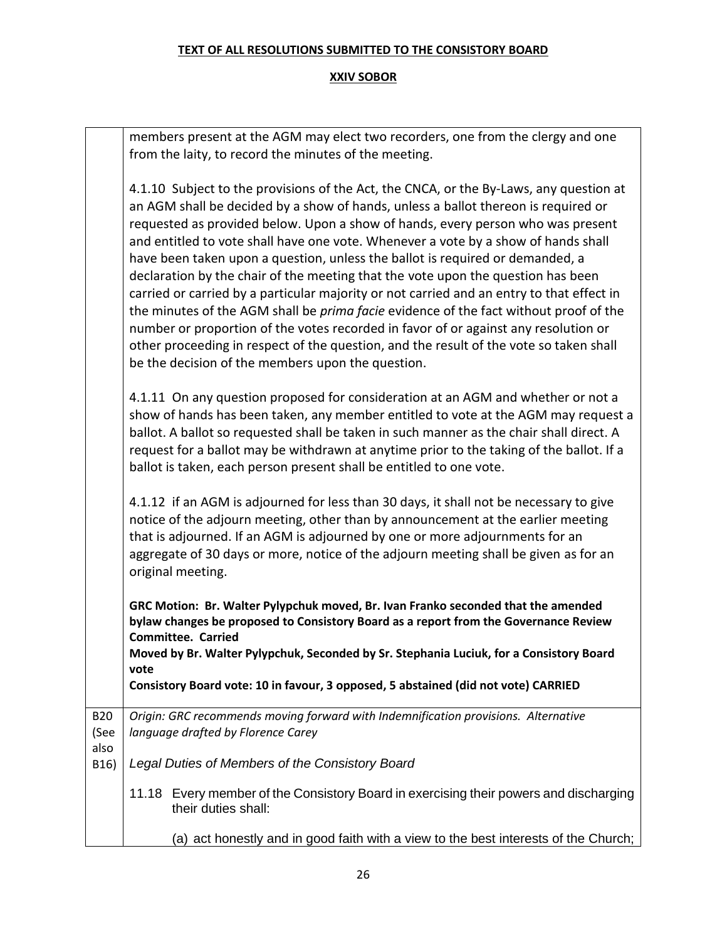|                    | members present at the AGM may elect two recorders, one from the clergy and one<br>from the laity, to record the minutes of the meeting.                                                                                                                                                                                                                                                                                                                                                                                                                                                                                                                                                                                                                                                                                                                                                                                                                      |
|--------------------|---------------------------------------------------------------------------------------------------------------------------------------------------------------------------------------------------------------------------------------------------------------------------------------------------------------------------------------------------------------------------------------------------------------------------------------------------------------------------------------------------------------------------------------------------------------------------------------------------------------------------------------------------------------------------------------------------------------------------------------------------------------------------------------------------------------------------------------------------------------------------------------------------------------------------------------------------------------|
|                    | 4.1.10 Subject to the provisions of the Act, the CNCA, or the By-Laws, any question at<br>an AGM shall be decided by a show of hands, unless a ballot thereon is required or<br>requested as provided below. Upon a show of hands, every person who was present<br>and entitled to vote shall have one vote. Whenever a vote by a show of hands shall<br>have been taken upon a question, unless the ballot is required or demanded, a<br>declaration by the chair of the meeting that the vote upon the question has been<br>carried or carried by a particular majority or not carried and an entry to that effect in<br>the minutes of the AGM shall be <i>prima facie</i> evidence of the fact without proof of the<br>number or proportion of the votes recorded in favor of or against any resolution or<br>other proceeding in respect of the question, and the result of the vote so taken shall<br>be the decision of the members upon the question. |
|                    | 4.1.11 On any question proposed for consideration at an AGM and whether or not a<br>show of hands has been taken, any member entitled to vote at the AGM may request a<br>ballot. A ballot so requested shall be taken in such manner as the chair shall direct. A<br>request for a ballot may be withdrawn at anytime prior to the taking of the ballot. If a<br>ballot is taken, each person present shall be entitled to one vote.                                                                                                                                                                                                                                                                                                                                                                                                                                                                                                                         |
|                    | 4.1.12 if an AGM is adjourned for less than 30 days, it shall not be necessary to give<br>notice of the adjourn meeting, other than by announcement at the earlier meeting<br>that is adjourned. If an AGM is adjourned by one or more adjournments for an<br>aggregate of 30 days or more, notice of the adjourn meeting shall be given as for an<br>original meeting.                                                                                                                                                                                                                                                                                                                                                                                                                                                                                                                                                                                       |
|                    | GRC Motion: Br. Walter Pylypchuk moved, Br. Ivan Franko seconded that the amended<br>bylaw changes be proposed to Consistory Board as a report from the Governance Review<br><b>Committee. Carried</b><br>Moved by Br. Walter Pylypchuk, Seconded by Sr. Stephania Luciuk, for a Consistory Board<br>vote<br>Consistory Board vote: 10 in favour, 3 opposed, 5 abstained (did not vote) CARRIED                                                                                                                                                                                                                                                                                                                                                                                                                                                                                                                                                               |
| <b>B20</b><br>(See | Origin: GRC recommends moving forward with Indemnification provisions. Alternative<br>language drafted by Florence Carey                                                                                                                                                                                                                                                                                                                                                                                                                                                                                                                                                                                                                                                                                                                                                                                                                                      |
| also<br>B16)       | Legal Duties of Members of the Consistory Board                                                                                                                                                                                                                                                                                                                                                                                                                                                                                                                                                                                                                                                                                                                                                                                                                                                                                                               |
|                    | 11.18 Every member of the Consistory Board in exercising their powers and discharging<br>their duties shall:                                                                                                                                                                                                                                                                                                                                                                                                                                                                                                                                                                                                                                                                                                                                                                                                                                                  |
|                    | (a) act honestly and in good faith with a view to the best interests of the Church;                                                                                                                                                                                                                                                                                                                                                                                                                                                                                                                                                                                                                                                                                                                                                                                                                                                                           |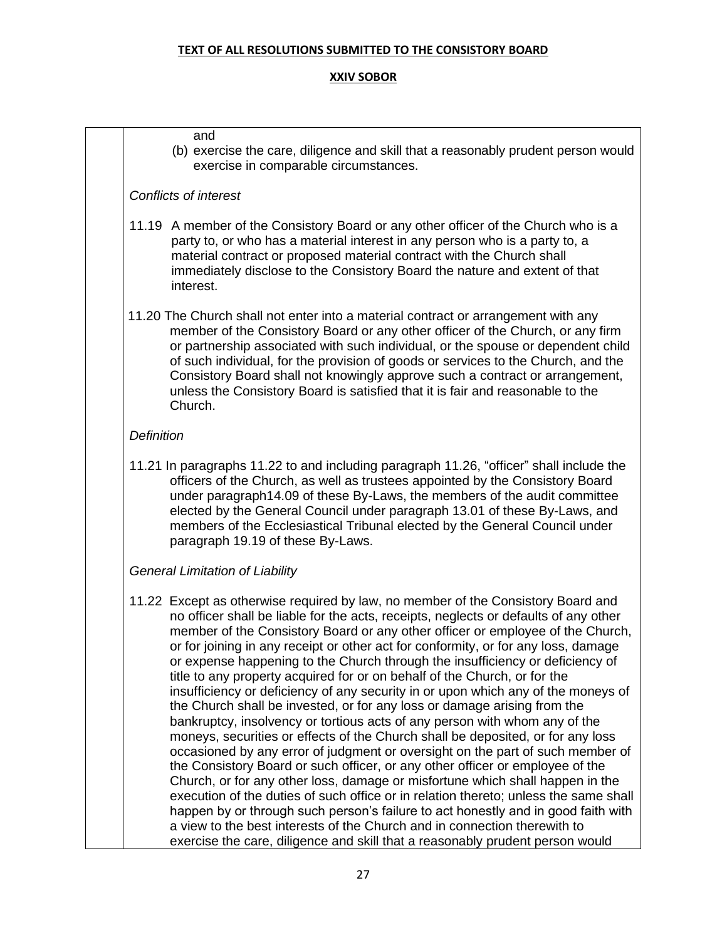#### **XXIV SOBOR**

#### and

(b) exercise the care, diligence and skill that a reasonably prudent person would exercise in comparable circumstances.

#### *Conflicts of interest*

- 11.19 A member of the Consistory Board or any other officer of the Church who is a party to, or who has a material interest in any person who is a party to, a material contract or proposed material contract with the Church shall immediately disclose to the Consistory Board the nature and extent of that interest.
- 11.20 The Church shall not enter into a material contract or arrangement with any member of the Consistory Board or any other officer of the Church, or any firm or partnership associated with such individual, or the spouse or dependent child of such individual, for the provision of goods or services to the Church, and the Consistory Board shall not knowingly approve such a contract or arrangement, unless the Consistory Board is satisfied that it is fair and reasonable to the Church.

#### *Definition*

11.21 In paragraphs 11.22 to and including paragraph 11.26, "officer" shall include the officers of the Church, as well as trustees appointed by the Consistory Board under paragraph14.09 of these By-Laws, the members of the audit committee elected by the General Council under paragraph 13.01 of these By-Laws, and members of the Ecclesiastical Tribunal elected by the General Council under paragraph 19.19 of these By-Laws.

#### *General Limitation of Liability*

11.22 Except as otherwise required by law, no member of the Consistory Board and no officer shall be liable for the acts, receipts, neglects or defaults of any other member of the Consistory Board or any other officer or employee of the Church, or for joining in any receipt or other act for conformity, or for any loss, damage or expense happening to the Church through the insufficiency or deficiency of title to any property acquired for or on behalf of the Church, or for the insufficiency or deficiency of any security in or upon which any of the moneys of the Church shall be invested, or for any loss or damage arising from the bankruptcy, insolvency or tortious acts of any person with whom any of the moneys, securities or effects of the Church shall be deposited, or for any loss occasioned by any error of judgment or oversight on the part of such member of the Consistory Board or such officer, or any other officer or employee of the Church, or for any other loss, damage or misfortune which shall happen in the execution of the duties of such office or in relation thereto; unless the same shall happen by or through such person's failure to act honestly and in good faith with a view to the best interests of the Church and in connection therewith to exercise the care, diligence and skill that a reasonably prudent person would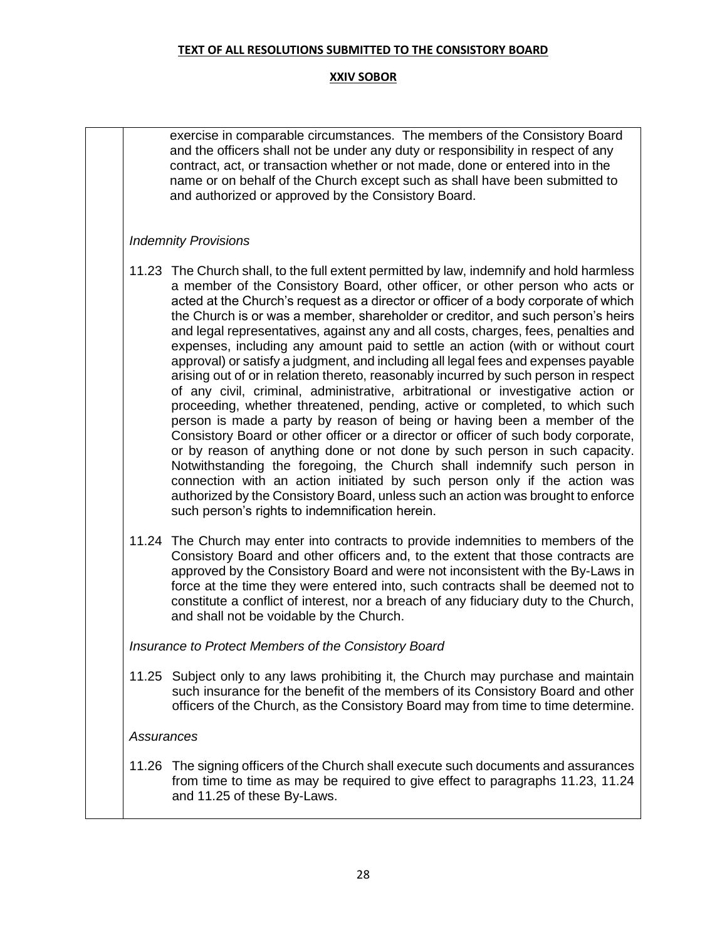#### **XXIV SOBOR**

exercise in comparable circumstances. The members of the Consistory Board and the officers shall not be under any duty or responsibility in respect of any contract, act, or transaction whether or not made, done or entered into in the name or on behalf of the Church except such as shall have been submitted to and authorized or approved by the Consistory Board.

#### *Indemnity Provisions*

- 11.23 The Church shall, to the full extent permitted by law, indemnify and hold harmless a member of the Consistory Board, other officer, or other person who acts or acted at the Church's request as a director or officer of a body corporate of which the Church is or was a member, shareholder or creditor, and such person's heirs and legal representatives, against any and all costs, charges, fees, penalties and expenses, including any amount paid to settle an action (with or without court approval) or satisfy a judgment, and including all legal fees and expenses payable arising out of or in relation thereto, reasonably incurred by such person in respect of any civil, criminal, administrative, arbitrational or investigative action or proceeding, whether threatened, pending, active or completed, to which such person is made a party by reason of being or having been a member of the Consistory Board or other officer or a director or officer of such body corporate, or by reason of anything done or not done by such person in such capacity. Notwithstanding the foregoing, the Church shall indemnify such person in connection with an action initiated by such person only if the action was authorized by the Consistory Board, unless such an action was brought to enforce such person's rights to indemnification herein.
- 11.24 The Church may enter into contracts to provide indemnities to members of the Consistory Board and other officers and, to the extent that those contracts are approved by the Consistory Board and were not inconsistent with the By-Laws in force at the time they were entered into, such contracts shall be deemed not to constitute a conflict of interest, nor a breach of any fiduciary duty to the Church, and shall not be voidable by the Church.

*Insurance to Protect Members of the Consistory Board*

11.25 Subject only to any laws prohibiting it, the Church may purchase and maintain such insurance for the benefit of the members of its Consistory Board and other officers of the Church, as the Consistory Board may from time to time determine.

#### *Assurances*

11.26 The signing officers of the Church shall execute such documents and assurances from time to time as may be required to give effect to paragraphs 11.23, 11.24 and 11.25 of these By-Laws.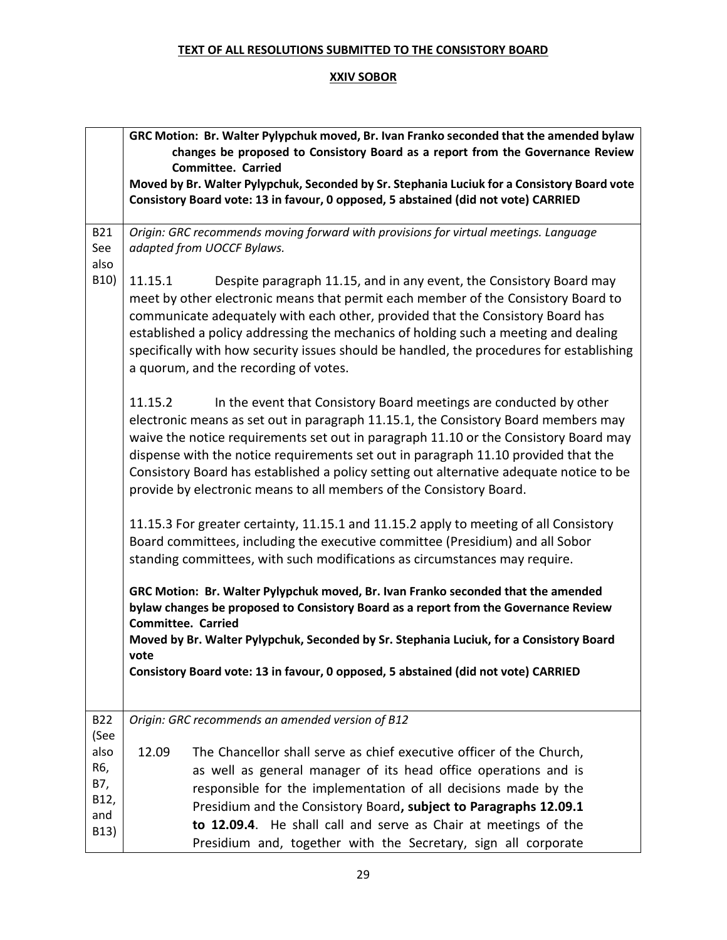| GRC Motion: Br. Walter Pylypchuk moved, Br. Ivan Franko seconded that the amended bylaw<br>changes be proposed to Consistory Board as a report from the Governance Review<br>Moved by Br. Walter Pylypchuk, Seconded by Sr. Stephania Luciuk for a Consistory Board vote<br>Consistory Board vote: 13 in favour, 0 opposed, 5 abstained (did not vote) CARRIED                                                                    |
|-----------------------------------------------------------------------------------------------------------------------------------------------------------------------------------------------------------------------------------------------------------------------------------------------------------------------------------------------------------------------------------------------------------------------------------|
|                                                                                                                                                                                                                                                                                                                                                                                                                                   |
| Origin: GRC recommends moving forward with provisions for virtual meetings. Language                                                                                                                                                                                                                                                                                                                                              |
| Despite paragraph 11.15, and in any event, the Consistory Board may<br>meet by other electronic means that permit each member of the Consistory Board to<br>communicate adequately with each other, provided that the Consistory Board has<br>established a policy addressing the mechanics of holding such a meeting and dealing<br>specifically with how security issues should be handled, the procedures for establishing     |
| In the event that Consistory Board meetings are conducted by other<br>electronic means as set out in paragraph 11.15.1, the Consistory Board members may<br>waive the notice requirements set out in paragraph 11.10 or the Consistory Board may<br>dispense with the notice requirements set out in paragraph 11.10 provided that the<br>Consistory Board has established a policy setting out alternative adequate notice to be |
| 11.15.3 For greater certainty, 11.15.1 and 11.15.2 apply to meeting of all Consistory<br>Board committees, including the executive committee (Presidium) and all Sobor<br>standing committees, with such modifications as circumstances may require.                                                                                                                                                                              |
| GRC Motion: Br. Walter Pylypchuk moved, Br. Ivan Franko seconded that the amended<br>bylaw changes be proposed to Consistory Board as a report from the Governance Review<br>Moved by Br. Walter Pylypchuk, Seconded by Sr. Stephania Luciuk, for a Consistory Board                                                                                                                                                              |
| Consistory Board vote: 13 in favour, 0 opposed, 5 abstained (did not vote) CARRIED                                                                                                                                                                                                                                                                                                                                                |
|                                                                                                                                                                                                                                                                                                                                                                                                                                   |
| The Chancellor shall serve as chief executive officer of the Church,<br>as well as general manager of its head office operations and is<br>responsible for the implementation of all decisions made by the<br>Presidium and the Consistory Board, subject to Paragraphs 12.09.1<br>to 12.09.4. He shall call and serve as Chair at meetings of the<br>Presidium and, together with the Secretary, sign all corporate              |
|                                                                                                                                                                                                                                                                                                                                                                                                                                   |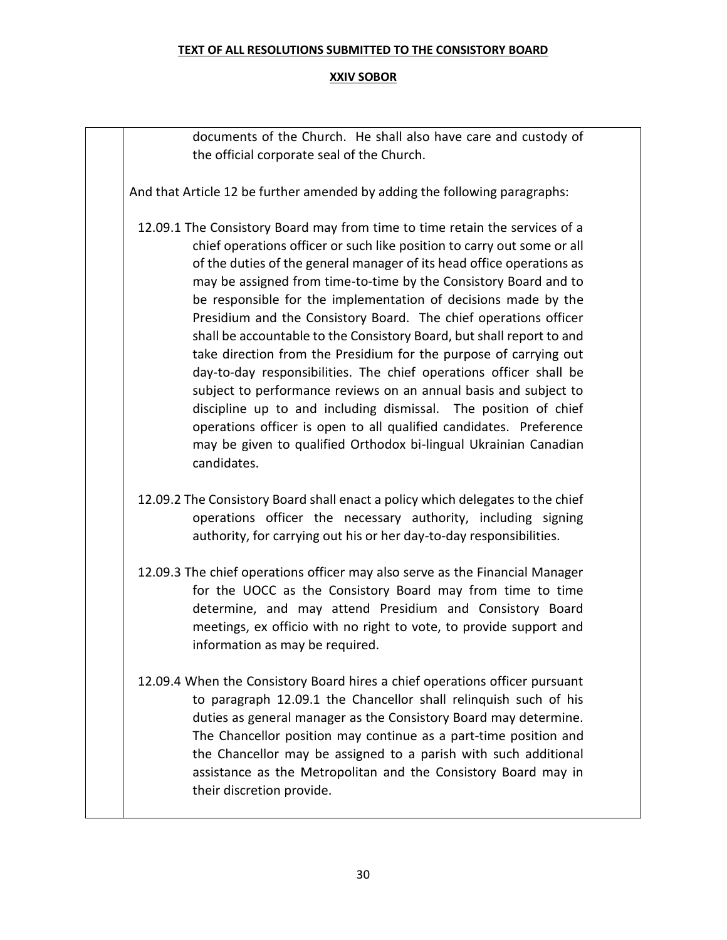#### **XXIV SOBOR**

documents of the Church. He shall also have care and custody of the official corporate seal of the Church.

And that Article 12 be further amended by adding the following paragraphs:

- 12.09.1 The Consistory Board may from time to time retain the services of a chief operations officer or such like position to carry out some or all of the duties of the general manager of its head office operations as may be assigned from time-to-time by the Consistory Board and to be responsible for the implementation of decisions made by the Presidium and the Consistory Board. The chief operations officer shall be accountable to the Consistory Board, but shall report to and take direction from the Presidium for the purpose of carrying out day-to-day responsibilities. The chief operations officer shall be subject to performance reviews on an annual basis and subject to discipline up to and including dismissal. The position of chief operations officer is open to all qualified candidates. Preference may be given to qualified Orthodox bi-lingual Ukrainian Canadian candidates.
- 12.09.2 The Consistory Board shall enact a policy which delegates to the chief operations officer the necessary authority, including signing authority, for carrying out his or her day-to-day responsibilities.
- 12.09.3 The chief operations officer may also serve as the Financial Manager for the UOCC as the Consistory Board may from time to time determine, and may attend Presidium and Consistory Board meetings, ex officio with no right to vote, to provide support and information as may be required.
- 12.09.4 When the Consistory Board hires a chief operations officer pursuant to paragraph 12.09.1 the Chancellor shall relinquish such of his duties as general manager as the Consistory Board may determine. The Chancellor position may continue as a part-time position and the Chancellor may be assigned to a parish with such additional assistance as the Metropolitan and the Consistory Board may in their discretion provide.